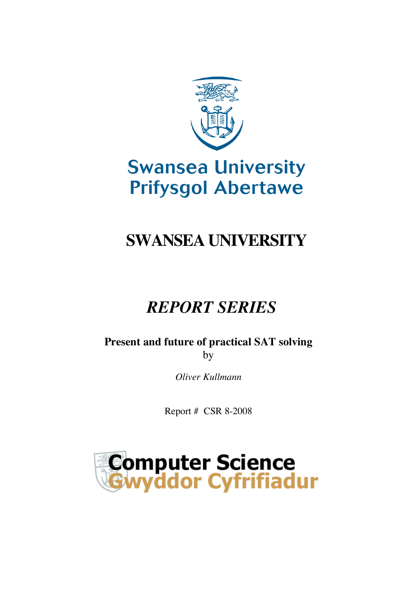

# **Swansea University Prifysgol Abertawe**

# **SWANSEA UNIVERSITY**

# *REPORT SERIES*

**Present and future of practical SAT solving** by

*Oliver Kullmann*

Report # CSR 8-2008

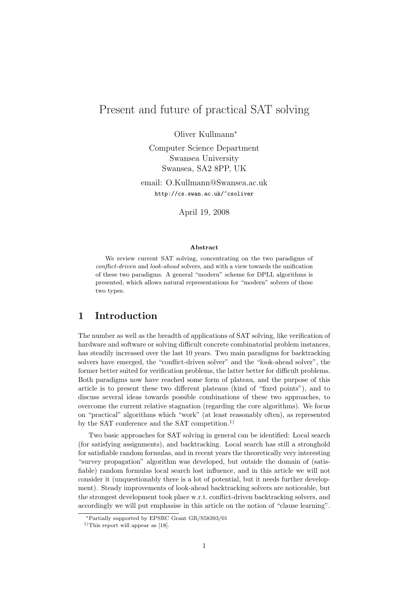# Present and future of practical SAT solving

Oliver Kullmann<sup>∗</sup>

Computer Science Department Swansea University Swansea, SA2 8PP, UK

email: O.Kullmann@Swansea.ac.uk http://cs.swan.ac.uk/~csoliver

April 19, 2008

#### Abstract

We review current SAT solving, concentrating on the two paradigms of conflict-driven and look-ahead solvers, and with a view towards the unification of these two paradigms. A general "modern" scheme for DPLL algorithms is presented, which allows natural representations for "modern" solvers of these two types.

## 1 Introduction

The number as well as the breadth of applications of SAT solving, like verification of hardware and software or solving difficult concrete combinatorial problem instances, has steadily increased over the last 10 years. Two main paradigms for backtracking solvers have emerged, the "conflict-driven solver" and the "look-ahead solver", the former better suited for verification problems, the latter better for difficult problems. Both paradigms now have reached some form of plateau, and the purpose of this article is to present these two different plateaus (kind of "fixed points"), and to discuss several ideas towards possible combinations of these two approaches, to overcome the current relative stagnation (regarding the core algorithms). We focus on "practical" algorithms which "work" (at least reasonably often), as represented by the SAT conference and the SAT competition.<sup>1)</sup>

Two basic approaches for SAT solving in general can be identified: Local search (for satisfying assignments), and backtracking. Local search has still a stronghold for satisfiable random formulas, and in recent years the theoretically very interesting "survey propagation" algorithm was developed, but outside the domain of (satisfiable) random formulas local search lost influence, and in this article we will not consider it (unquestionably there is a lot of potential, but it needs further development). Steady improvements of look-ahead backtracking solvers are noticeable, but the strongest development took place w.r.t. conflict-driven backtracking solvers, and accordingly we will put emphasise in this article on the notion of "clause learning".

<sup>∗</sup>Partially supported by EPSRC Grant GR/S58393/01

<sup>&</sup>lt;sup>1)</sup>This report will appear as  $[18]$ .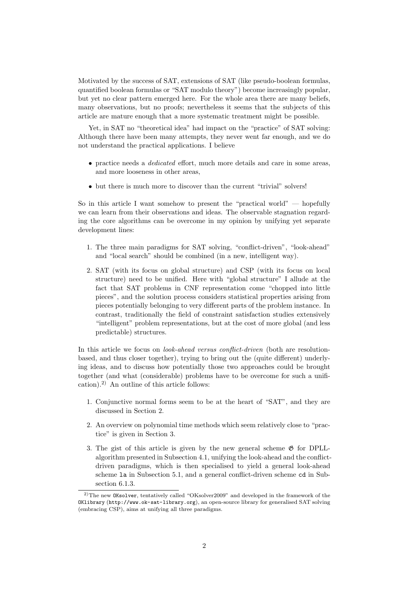Motivated by the success of SAT, extensions of SAT (like pseudo-boolean formulas, quantified boolean formulas or "SAT modulo theory") become increasingly popular, but yet no clear pattern emerged here. For the whole area there are many beliefs, many observations, but no proofs; nevertheless it seems that the subjects of this article are mature enough that a more systematic treatment might be possible.

Yet, in SAT no "theoretical idea" had impact on the "practice" of SAT solving: Although there have been many attempts, they never went far enough, and we do not understand the practical applications. I believe

- practice needs a dedicated effort, much more details and care in some areas, and more looseness in other areas,
- but there is much more to discover than the current "trivial" solvers!

So in this article I want somehow to present the "practical world" — hopefully we can learn from their observations and ideas. The observable stagnation regarding the core algorithms can be overcome in my opinion by unifying yet separate development lines:

- 1. The three main paradigms for SAT solving, "conflict-driven", "look-ahead" and "local search" should be combined (in a new, intelligent way).
- 2. SAT (with its focus on global structure) and CSP (with its focus on local structure) need to be unified. Here with "global structure" I allude at the fact that SAT problems in CNF representation come "chopped into little pieces", and the solution process considers statistical properties arising from pieces potentially belonging to very different parts of the problem instance. In contrast, traditionally the field of constraint satisfaction studies extensively "intelligent" problem representations, but at the cost of more global (and less predictable) structures.

In this article we focus on look-ahead versus conflict-driven (both are resolutionbased, and thus closer together), trying to bring out the (quite different) underlying ideas, and to discuss how potentially those two approaches could be brought together (and what (considerable) problems have to be overcome for such a unification).2) An outline of this article follows:

- 1. Conjunctive normal forms seem to be at the heart of "SAT", and they are discussed in Section 2.
- 2. An overview on polynomial time methods which seem relatively close to "practice" is given in Section 3.
- 3. The gist of this article is given by the new general scheme  $\mathfrak{G}$  for DPLLalgorithm presented in Subsection 4.1, unifying the look-ahead and the conflictdriven paradigms, which is then specialised to yield a general look-ahead scheme la in Subsection 5.1, and a general conflict-driven scheme cd in Subsection 6.1.3.

<sup>2)</sup>The new OKsolver, tentatively called "OKsolver2009" and developed in the framework of the OKlibrary (http://www.ok-sat-library.org), an open-source library for generalised SAT solving (embracing CSP), aims at unifying all three paradigms.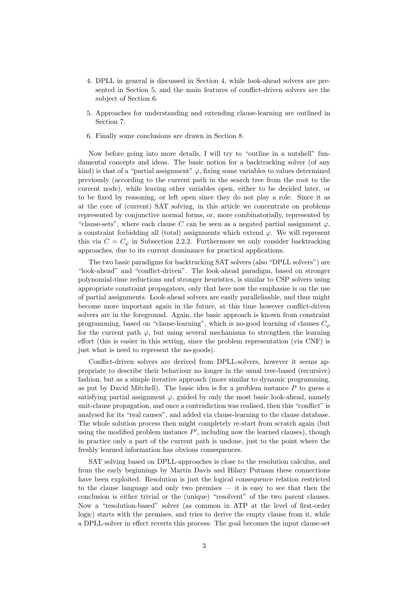- 4. DPLL in general is discussed in Section 4, while look-ahead solvers are presented in Section 5, and the main features of conflict-driven solvers are the subject of Section 6.
- 5. Approaches for understanding and extending clause-learning are outlined in Section 7.
- 6. Finally some conclusions are drawn in Section 8.

Now before going into more details, I will try to "outline in a nutshell" fundamental concepts and ideas. The basic notion for a backtracking solver (of any kind) is that of a "partial assignment"  $\varphi$ , fixing some variables to values determined previously (according to the current path in the search tree from the root to the current node), while leaving other variables open, either to be decided later, or to be fixed by reasoning, or left open since they do not play a role. Since it as at the core of (current) SAT solving, in this article we concentrate on problems represented by conjunctive normal forms, or, more combinatorially, represented by "clause-sets", where each clause C can be seen as a negated partial assignment  $\varphi$ , a constraint forbidding all (total) assignments which extend  $\varphi$ . We will represent this via  $C = C_{\varphi}$  in Subsection 2.2.2. Furthermore we only consider backtracking approaches, due to its current dominance for practical applications.

The two basic paradigms for backtracking SAT solvers (also "DPLL solvers") are "look-ahead" and "conflict-driven". The look-ahead paradigm, based on stronger polynomial-time reductions and stronger heuristics, is similar to CSP solvers using appropriate constraint propagators, only that here now the emphasise is on the use of partial assignments. Look-ahead solvers are easily parallelisable, and thus might become more important again in the future, at this time however conflict-driven solvers are in the foreground. Again, the basic approach is known from constraint programming, based on "clause-learning", which is no-good learning of clauses  $C_{\varphi}$ for the current path  $\varphi$ , but using several mechanisms to strengthen the learning effort (this is easier in this setting, since the problem representation (via CNF) is just what is need to represent the no-goods).

Conflict-driven solvers are derived from DPLL-solvers, however it seems appropriate to describe their behaviour no longer in the usual tree-based (recursive) fashion, but as a simple iterative approach (more similar to dynamic programming, as put by David Mitchell). The basic idea is for a problem instance  $P$  to guess a satisfying partial assignment  $\varphi$ , guided by only the most basic look-ahead, namely unit-clause propagation, and once a contradiction was realised, then this "conflict" is analysed for its "real causes", and added via clause-learning to the clause database. The whole solution process then might completely re-start from scratch again (but using the modified problem instance  $P'$ , including now the learned clauses), though in practice only a part of the current path is undone, just to the point where the freshly learned information has obvious consequences.

SAT solving based on DPLL-approaches is close to the resolution calculus, and from the early beginnings by Martin Davis and Hilary Putnam these connections have been exploited. Resolution is just the logical consequence relation restricted to the clause language and only two premises — it is easy to see that then the conclusion is either trivial or the (unique) "resolvent" of the two parent clauses. Now a "resolution-based" solver (as common in ATP at the level of first-order logic) starts with the premises, and tries to derive the empty clause from it, while a DPLL-solver in effect reverts this process: The goal becomes the input clause-set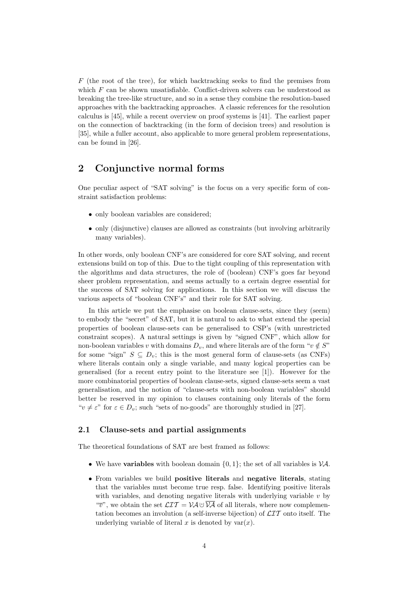F (the root of the tree), for which backtracking seeks to find the premises from which  $F$  can be shown unsatisfiable. Conflict-driven solvers can be understood as breaking the tree-like structure, and so in a sense they combine the resolution-based approaches with the backtracking approaches. A classic references for the resolution calculus is [45], while a recent overview on proof systems is [41]. The earliest paper on the connection of backtracking (in the form of decision trees) and resolution is [35], while a fuller account, also applicable to more general problem representations, can be found in [26].

# 2 Conjunctive normal forms

One peculiar aspect of "SAT solving" is the focus on a very specific form of constraint satisfaction problems:

- only boolean variables are considered;
- only (disjunctive) clauses are allowed as constraints (but involving arbitrarily many variables).

In other words, only boolean CNF's are considered for core SAT solving, and recent extensions build on top of this. Due to the tight coupling of this representation with the algorithms and data structures, the role of (boolean) CNF's goes far beyond sheer problem representation, and seems actually to a certain degree essential for the success of SAT solving for applications. In this section we will discuss the various aspects of "boolean CNF's" and their role for SAT solving.

In this article we put the emphasise on boolean clause-sets, since they (seem) to embody the "secret" of SAT, but it is natural to ask to what extend the special properties of boolean clause-sets can be generalised to CSP's (with unrestricted constraint scopes). A natural settings is given by "signed CNF", which allow for non-boolean variables v with domains  $D_v$ , and where literals are of the form " $v \notin S$ " for some "sign"  $S \subseteq D_v$ ; this is the most general form of clause-sets (as CNFs) where literals contain only a single variable, and many logical properties can be generalised (for a recent entry point to the literature see [1]). However for the more combinatorial properties of boolean clause-sets, signed clause-sets seem a vast generalisation, and the notion of "clause-sets with non-boolean variables" should better be reserved in my opinion to clauses containing only literals of the form " $v \neq \varepsilon$ " for  $\varepsilon \in D_v$ ; such "sets of no-goods" are thoroughly studied in [27].

## 2.1 Clause-sets and partial assignments

The theoretical foundations of SAT are best framed as follows:

- We have variables with boolean domain  $\{0, 1\}$ ; the set of all variables is  $\mathcal{V}A$ .
- From variables we build positive literals and negative literals, stating that the variables must become true resp. false. Identifying positive literals with variables, and denoting negative literals with underlying variable  $v$  by  $\tilde{w}$ , we obtain the set  $\mathcal{LIT} = \mathcal{VA} \cup \mathcal{VA}$  of all literals, where now complementation becomes an involution (a self-inverse bijection) of  $\mathcal{LIT}$  onto itself. The underlying variable of literal x is denoted by  $var(x)$ .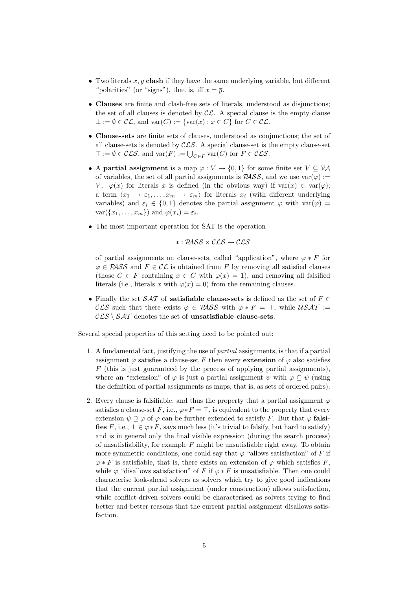- Two literals  $x, y$  clash if they have the same underlying variable, but different "polarities" (or "signs"), that is, iff  $x = \overline{y}$ .
- Clauses are finite and clash-free sets of literals, understood as disjunctions; the set of all clauses is denoted by  $CL$ . A special clause is the empty clause  $\bot := \emptyset \in \mathcal{CL}$ , and  $\text{var}(C) := \{\text{var}(x) : x \in C\}$  for  $C \in \mathcal{CL}$ .
- Clause-sets are finite sets of clauses, understood as conjunctions; the set of all clause-sets is denoted by  $\mathcal{CLS}$ . A special clause-set is the empty clause-set  $\top := \emptyset \in \mathcal{CLS}$ , and  $var(F) := \bigcup_{C \in F} var(C)$  for  $F \in \mathcal{CLS}$ .
- A partial assignment is a map  $\varphi: V \to \{0,1\}$  for some finite set  $V \subseteq V\mathcal{A}$ of variables, the set of all partial assignments is  $PASS$ , and we use  $var(\varphi) :=$ V.  $\varphi(x)$  for literals x is defined (in the obvious way) if  $var(x) \in var(\varphi)$ ; a term  $\langle x_1 \rightarrow \varepsilon_1, \ldots, x_m \rightarrow \varepsilon_m \rangle$  for literals  $x_i$  (with different underlying variables) and  $\varepsilon_i \in \{0,1\}$  denotes the partial assignment  $\varphi$  with var $(\varphi)$  =  $var({x_1, \ldots, x_m})$  and  $\varphi(x_i) = \varepsilon_i$ .
- The most important operation for SAT is the operation

$$
*:\mathcal{P\!ASS}\times\mathcal{CLS}\rightarrow\mathcal{CLS}
$$

of partial assignments on clause-sets, called "application", where  $\varphi * F$  for  $\varphi \in PASS$  and  $F \in \mathcal{CL}$  is obtained from F by removing all satisfied clauses (those  $C \in F$  containing  $x \in C$  with  $\varphi(x) = 1$ ), and removing all falsified literals (i.e., literals x with  $\varphi(x) = 0$ ) from the remaining clauses.

• Finally the set  $\mathcal{SAT}$  of satisfiable clause-sets is defined as the set of  $F \in$ CLS such that there exists  $\varphi \in PASS$  with  $\varphi * F = \top$ , while  $USAT :=$  $\mathcal{CLS} \setminus \mathcal{SAT}$  denotes the set of unsatisfiable clause-sets.

Several special properties of this setting need to be pointed out:

- 1. A fundamental fact, justifying the use of partial assignments, is that if a partial assignment  $\varphi$  satisfies a clause-set F then every **extension** of  $\varphi$  also satisfies  $F$  (this is just guaranteed by the process of applying partial assignments), where an "extension" of  $\varphi$  is just a partial assignment  $\psi$  with  $\varphi \subseteq \psi$  (using the definition of partial assignments as maps, that is, as sets of ordered pairs).
- 2. Every clause is falsifiable, and thus the property that a partial assignment  $\varphi$ satisfies a clause-set F, i.e.,  $\varphi * F = \top$ , is equivalent to the property that every extension  $\psi \supseteq \varphi$  of  $\varphi$  can be further extended to satisfy F. But that  $\varphi$  falsifies F, i.e.,  $\bot \in \varphi * F$ , says much less (it's trivial to falsify, but hard to satisfy) and is in general only the final visible expression (during the search process) of unsatisfiability, for example  $F$  might be unsatisfiable right away. To obtain more symmetric conditions, one could say that  $\varphi$  "allows satisfaction" of F if  $\varphi * F$  is satisfiable, that is, there exists an extension of  $\varphi$  which satisfies F, while  $\varphi$  "disallows satisfaction" of F if  $\varphi * F$  is unsatisfiable. Then one could characterise look-ahead solvers as solvers which try to give good indications that the current partial assignment (under construction) allows satisfaction, while conflict-driven solvers could be characterised as solvers trying to find better and better reasons that the current partial assignment disallows satisfaction.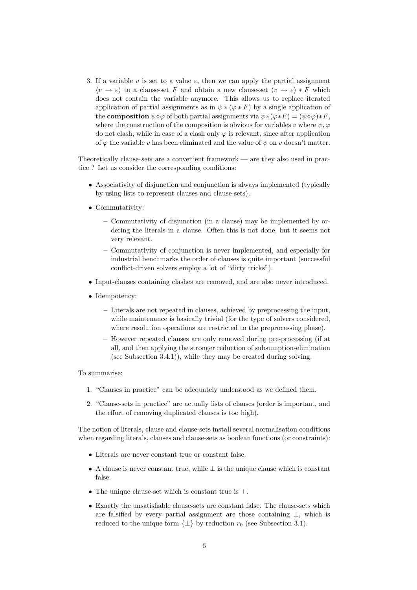3. If a variable v is set to a value  $\varepsilon$ , then we can apply the partial assignment  $\langle v \rangle \rightarrow \varepsilon$  to a clause-set F and obtain a new clause-set  $\langle v \rangle \rightarrow \varepsilon$  \* F which does not contain the variable anymore. This allows us to replace iterated application of partial assignments as in  $\psi * (\varphi * F)$  by a single application of the **composition**  $\psi \circ \varphi$  of both partial assignments via  $\psi * (\varphi * F) = (\psi \circ \varphi) * F$ , where the construction of the composition is obvious for variables v where  $\psi, \varphi$ do not clash, while in case of a clash only  $\varphi$  is relevant, since after application of  $\varphi$  the variable v has been eliminated and the value of  $\psi$  on v doesn't matter.

Theoretically clause-sets are a convenient framework — are they also used in practice ? Let us consider the corresponding conditions:

- Associativity of disjunction and conjunction is always implemented (typically by using lists to represent clauses and clause-sets).
- Commutativity:
	- Commutativity of disjunction (in a clause) may be implemented by ordering the literals in a clause. Often this is not done, but it seems not very relevant.
	- Commutativity of conjunction is never implemented, and especially for industrial benchmarks the order of clauses is quite important (successful conflict-driven solvers employ a lot of "dirty tricks").
- Input-clauses containing clashes are removed, and are also never introduced.
- Idempotency:
	- Literals are not repeated in clauses, achieved by preprocessing the input, while maintenance is basically trivial (for the type of solvers considered, where resolution operations are restricted to the preprocessing phase).
	- However repeated clauses are only removed during pre-processing (if at all, and then applying the stronger reduction of subsumption-elimination (see Subsection 3.4.1)), while they may be created during solving.

#### To summarise:

- 1. "Clauses in practice" can be adequately understood as we defined them.
- 2. "Clause-sets in practice" are actually lists of clauses (order is important, and the effort of removing duplicated clauses is too high).

The notion of literals, clause and clause-sets install several normalisation conditions when regarding literals, clauses and clause-sets as boolean functions (or constraints):

- Literals are never constant true or constant false.
- A clause is never constant true, while ⊥ is the unique clause which is constant false.
- The unique clause-set which is constant true is  $\top$ .
- Exactly the unsatisfiable clause-sets are constant false. The clause-sets which are falsified by every partial assignment are those containing ⊥, which is reduced to the unique form  $\{\perp\}$  by reduction  $r_0$  (see Subsection 3.1).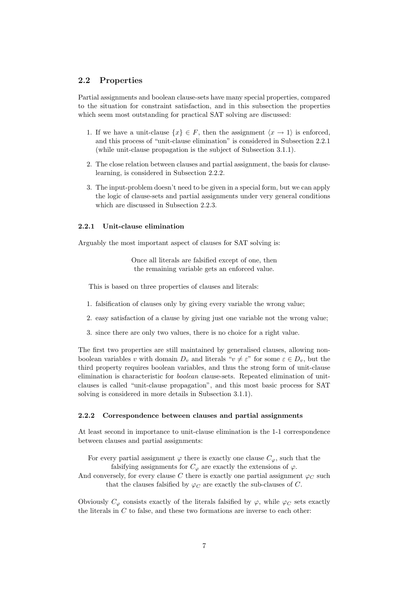## 2.2 Properties

Partial assignments and boolean clause-sets have many special properties, compared to the situation for constraint satisfaction, and in this subsection the properties which seem most outstanding for practical SAT solving are discussed:

- 1. If we have a unit-clause  $\{x\} \in F$ , then the assignment  $\langle x \to 1 \rangle$  is enforced, and this process of "unit-clause elimination" is considered in Subsection 2.2.1 (while unit-clause propagation is the subject of Subsection 3.1.1).
- 2. The close relation between clauses and partial assignment, the basis for clauselearning, is considered in Subsection 2.2.2.
- 3. The input-problem doesn't need to be given in a special form, but we can apply the logic of clause-sets and partial assignments under very general conditions which are discussed in Subsection 2.2.3.

## 2.2.1 Unit-clause elimination

Arguably the most important aspect of clauses for SAT solving is:

Once all literals are falsified except of one, then the remaining variable gets an enforced value.

This is based on three properties of clauses and literals:

- 1. falsification of clauses only by giving every variable the wrong value;
- 2. easy satisfaction of a clause by giving just one variable not the wrong value;
- 3. since there are only two values, there is no choice for a right value.

The first two properties are still maintained by generalised clauses, allowing nonboolean variables v with domain  $D_v$  and literals " $v \neq \varepsilon$ " for some  $\varepsilon \in D_v$ , but the third property requires boolean variables, and thus the strong form of unit-clause elimination is characteristic for boolean clause-sets. Repeated elimination of unitclauses is called "unit-clause propagation", and this most basic process for SAT solving is considered in more details in Subsection 3.1.1).

### 2.2.2 Correspondence between clauses and partial assignments

At least second in importance to unit-clause elimination is the 1-1 correspondence between clauses and partial assignments:

For every partial assignment  $\varphi$  there is exactly one clause  $C_{\varphi}$ , such that the falsifying assignments for  $C_{\varphi}$  are exactly the extensions of  $\varphi$ .

And conversely, for every clause C there is exactly one partial assignment  $\varphi_C$  such that the clauses falsified by  $\varphi_C$  are exactly the sub-clauses of C.

Obviously  $C_{\varphi}$  consists exactly of the literals falsified by  $\varphi$ , while  $\varphi_C$  sets exactly the literals in  $C$  to false, and these two formations are inverse to each other: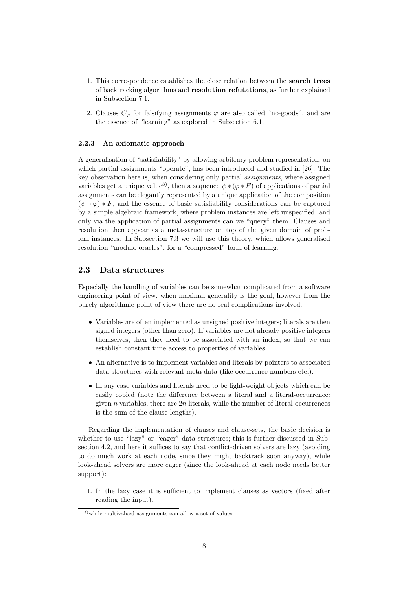- 1. This correspondence establishes the close relation between the search trees of backtracking algorithms and resolution refutations, as further explained in Subsection 7.1.
- 2. Clauses  $C_{\varphi}$  for falsifying assignments  $\varphi$  are also called "no-goods", and are the essence of "learning" as explored in Subsection 6.1.

#### 2.2.3 An axiomatic approach

A generalisation of "satisfiability" by allowing arbitrary problem representation, on which partial assignments "operate", has been introduced and studied in [26]. The key observation here is, when considering only partial assignments, where assigned variables get a unique value<sup>3</sup>, then a sequence  $\psi * (\varphi * F)$  of applications of partial assignments can be elegantly represented by a unique application of the composition  $(\psi \circ \varphi) * F$ , and the essence of basic satisfiability considerations can be captured by a simple algebraic framework, where problem instances are left unspecified, and only via the application of partial assignments can we "query" them. Clauses and resolution then appear as a meta-structure on top of the given domain of problem instances. In Subsection 7.3 we will use this theory, which allows generalised resolution "modulo oracles", for a "compressed" form of learning.

## 2.3 Data structures

Especially the handling of variables can be somewhat complicated from a software engineering point of view, when maximal generality is the goal, however from the purely algorithmic point of view there are no real complications involved:

- Variables are often implemented as unsigned positive integers; literals are then signed integers (other than zero). If variables are not already positive integers themselves, then they need to be associated with an index, so that we can establish constant time access to properties of variables.
- An alternative is to implement variables and literals by pointers to associated data structures with relevant meta-data (like occurrence numbers etc.).
- In any case variables and literals need to be light-weight objects which can be easily copied (note the difference between a literal and a literal-occurrence: given n variables, there are  $2n$  literals, while the number of literal-occurrences is the sum of the clause-lengths).

Regarding the implementation of clauses and clause-sets, the basic decision is whether to use "lazy" or "eager" data structures; this is further discussed in Subsection 4.2, and here it suffices to say that conflict-driven solvers are lazy (avoiding to do much work at each node, since they might backtrack soon anyway), while look-ahead solvers are more eager (since the look-ahead at each node needs better support):

1. In the lazy case it is sufficient to implement clauses as vectors (fixed after reading the input).

<sup>3)</sup>while multivalued assignments can allow a set of values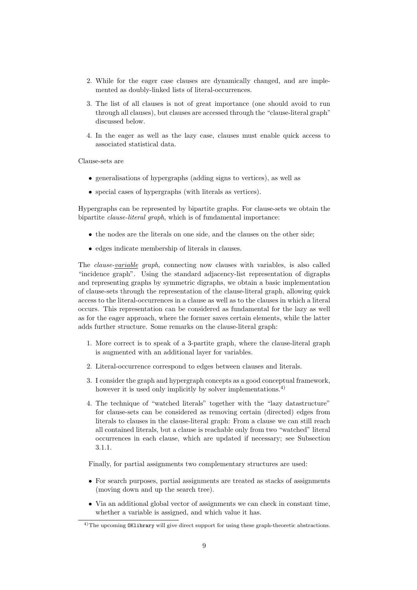- 2. While for the eager case clauses are dynamically changed, and are implemented as doubly-linked lists of literal-occurrences.
- 3. The list of all clauses is not of great importance (one should avoid to run through all clauses), but clauses are accessed through the "clause-literal graph" discussed below.
- 4. In the eager as well as the lazy case, clauses must enable quick access to associated statistical data.

Clause-sets are

- generalisations of hypergraphs (adding signs to vertices), as well as
- special cases of hypergraphs (with literals as vertices).

Hypergraphs can be represented by bipartite graphs. For clause-sets we obtain the bipartite clause-literal graph, which is of fundamental importance:

- the nodes are the literals on one side, and the clauses on the other side;
- edges indicate membership of literals in clauses.

The clause-variable graph, connecting now clauses with variables, is also called "incidence graph". Using the standard adjacency-list representation of digraphs and representing graphs by symmetric digraphs, we obtain a basic implementation of clause-sets through the representation of the clause-literal graph, allowing quick access to the literal-occurrences in a clause as well as to the clauses in which a literal occurs. This representation can be considered as fundamental for the lazy as well as for the eager approach, where the former saves certain elements, while the latter adds further structure. Some remarks on the clause-literal graph:

- 1. More correct is to speak of a 3-partite graph, where the clause-literal graph is augmented with an additional layer for variables.
- 2. Literal-occurrence correspond to edges between clauses and literals.
- 3. I consider the graph and hypergraph concepts as a good conceptual framework, however it is used only implicitly by solver implementations.<sup>4)</sup>
- 4. The technique of "watched literals" together with the "lazy datastructure" for clause-sets can be considered as removing certain (directed) edges from literals to clauses in the clause-literal graph: From a clause we can still reach all contained literals, but a clause is reachable only from two "watched" literal occurrences in each clause, which are updated if necessary; see Subsection 3.1.1.

Finally, for partial assignments two complementary structures are used:

- For search purposes, partial assignments are treated as stacks of assignments (moving down and up the search tree).
- Via an additional global vector of assignments we can check in constant time, whether a variable is assigned, and which value it has.

<sup>&</sup>lt;sup>4)</sup>The upcoming OKlibrary will give direct support for using these graph-theoretic abstractions.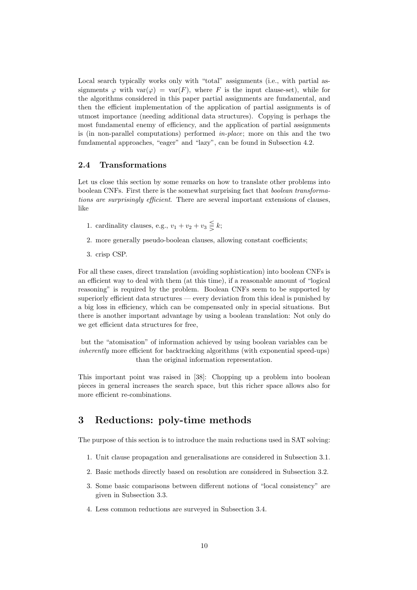Local search typically works only with "total" assignments (i.e., with partial assignments  $\varphi$  with var $(\varphi) = \text{var}(F)$ , where F is the input clause-set), while for the algorithms considered in this paper partial assignments are fundamental, and then the efficient implementation of the application of partial assignments is of utmost importance (needing additional data structures). Copying is perhaps the most fundamental enemy of efficiency, and the application of partial assignments is (in non-parallel computations) performed in-place; more on this and the two fundamental approaches, "eager" and "lazy", can be found in Subsection 4.2.

## 2.4 Transformations

Let us close this section by some remarks on how to translate other problems into boolean CNFs. First there is the somewhat surprising fact that boolean transformations are surprisingly efficient. There are several important extensions of clauses, like

- 1. cardinality clauses, e.g.,  $v_1 + v_2 + v_3 \leq k$ ;
- 2. more generally pseudo-boolean clauses, allowing constant coefficients;
- 3. crisp CSP.

For all these cases, direct translation (avoiding sophistication) into boolean CNFs is an efficient way to deal with them (at this time), if a reasonable amount of "logical reasoning" is required by the problem. Boolean CNFs seem to be supported by superiorly efficient data structures — every deviation from this ideal is punished by a big loss in efficiency, which can be compensated only in special situations. But there is another important advantage by using a boolean translation: Not only do we get efficient data structures for free,

but the "atomisation" of information achieved by using boolean variables can be inherently more efficient for backtracking algorithms (with exponential speed-ups) than the original information representation.

This important point was raised in [38]: Chopping up a problem into boolean pieces in general increases the search space, but this richer space allows also for more efficient re-combinations.

# 3 Reductions: poly-time methods

The purpose of this section is to introduce the main reductions used in SAT solving:

- 1. Unit clause propagation and generalisations are considered in Subsection 3.1.
- 2. Basic methods directly based on resolution are considered in Subsection 3.2.
- 3. Some basic comparisons between different notions of "local consistency" are given in Subsection 3.3.
- 4. Less common reductions are surveyed in Subsection 3.4.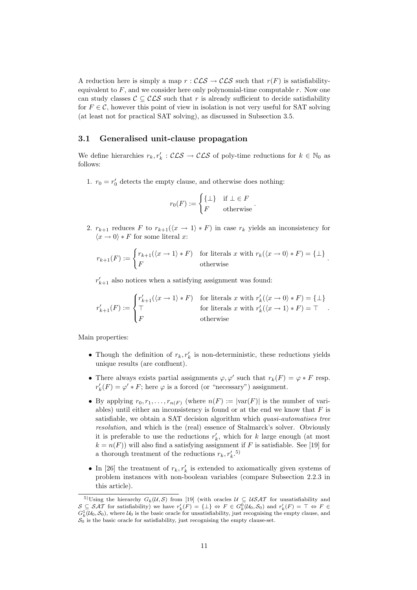A reduction here is simply a map  $r : \mathcal{CLS} \rightarrow \mathcal{CLS}$  such that  $r(F)$  is satisfiabilityequivalent to  $F$ , and we consider here only polynomial-time computable  $r$ . Now one can study classes  $C \subseteq CLS$  such that r is already sufficient to decide satisfiability for  $F \in \mathcal{C}$ , however this point of view in isolation is not very useful for SAT solving (at least not for practical SAT solving), as discussed in Subsection 3.5.

## 3.1 Generalised unit-clause propagation

We define hierarchies  $r_k, r'_k : \mathcal{CLS} \to \mathcal{CLS}$  of poly-time reductions for  $k \in \mathbb{N}_0$  as follows:

1.  $r_0 = r'_0$  detects the empty clause, and otherwise does nothing:

$$
r_0(F) := \begin{cases} {\{\perp\}} & \text{if } \perp \in F \\ F & \text{otherwise} \end{cases}.
$$

2.  $r_{k+1}$  reduces F to  $r_{k+1}(\langle x \to 1 \rangle * F)$  in case  $r_k$  yields an inconsistency for  $\langle x \to 0 \rangle * F$  for some literal x:

$$
r_{k+1}(F) := \begin{cases} r_{k+1}(\langle x \to 1 \rangle * F) & \text{for literals } x \text{ with } r_k(\langle x \to 0 \rangle * F) = {\perp} \\ F & \text{otherwise} \end{cases}.
$$

 $r^{\prime}_{k+1}$  also notices when a satisfying assignment was found:

$$
r'_{k+1}(F) := \begin{cases} r'_{k+1}(\langle x \to 1 \rangle * F) & \text{for literals } x \text{ with } r'_k(\langle x \to 0 \rangle * F) = \{\bot\} \\ \top & \text{for literals } x \text{ with } r'_k(\langle x \to 1 \rangle * F) = \top \\ F & \text{otherwise} \end{cases}.
$$

Main properties:

- Though the definition of  $r_k, r'_k$  is non-deterministic, these reductions yields unique results (are confluent).
- There always exists partial assignments  $\varphi, \varphi'$  such that  $r_k(F) = \varphi * F$  resp.  $r'_{k}(F) = \varphi' * F$ ; here  $\varphi$  is a forced (or "necessary") assignment.
- By applying  $r_0, r_1, \ldots, r_{n(F)}$  (where  $n(F) := |\text{var}(F)|$  is the number of variables) until either an inconsistency is found or at the end we know that  $F$  is satisfiable, we obtain a SAT decision algorithm which *quasi-automatises tree* resolution, and which is the (real) essence of Stalmarck's solver. Obviously it is preferable to use the reductions  $r'_{k}$ , which for k large enough (at most  $k = n(F)$ ) will also find a satisfying assignment if F is satisfiable. See [19] for a thorough treatment of the reductions  $r_k, r'_k$ <sup>5</sup>
- In [26] the treatment of  $r_k, r'_k$  is extended to axiomatically given systems of problem instances with non-boolean variables (compare Subsection 2.2.3 in this article).

<sup>&</sup>lt;sup>5)</sup>Using the hierarchy  $G_k(\mathcal{U}, \mathcal{S})$  from [19] (with oracles  $\mathcal{U} \subseteq \mathcal{USAT}$  for unsatisfiability and  $S \subseteq \mathcal{SAT}$  for satisfiability) we have  $r'_{k}(F) = {\perp} \Leftrightarrow F \in G_{k}^{0}(\mathcal{U}_{0}, \mathcal{S}_{0})$  and  $r'_{k}(F) = \top \Leftrightarrow F \in$  $G_k^1(\mathcal{U}_0, \mathcal{S}_0)$ , where  $\mathcal{U}_0$  is the basic oracle for unsatisfiability, just recognising the empty clause, and  $\mathcal{S}_0$  is the basic oracle for satisfiability, just recognising the empty clause-set.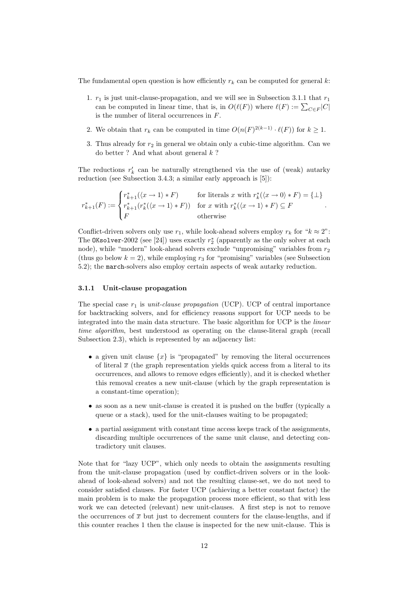The fundamental open question is how efficiently  $r_k$  can be computed for general k:

- 1.  $r_1$  is just unit-clause-propagation, and we will see in Subsection 3.1.1 that  $r_1$ can be computed in linear time, that is, in  $O(\ell(F))$  where  $\ell(F) := \sum_{C \in F} |C|$ is the number of literal occurrences in  $F$ .
- 2. We obtain that  $r_k$  can be computed in time  $O(n(F)^{2(k-1)} \cdot \ell(F))$  for  $k \geq 1$ .
- 3. Thus already for  $r_2$  in general we obtain only a cubic-time algorithm. Can we do better ? And what about general  $k$  ?

The reductions  $r'_{k}$  can be naturally strengthened via the use of (weak) autarky reduction (see Subsection 3.4.3; a similar early approach is [5]):

$$
r_{k+1}^*(F) := \begin{cases} r_{k+1}^*(\langle x \to 1 \rangle * F) & \text{for literals } x \text{ with } r_k^*(\langle x \to 0 \rangle * F) = \{\bot\} \\ r_{k+1}^*(r_k^*(\langle x \to 1 \rangle * F)) & \text{for } x \text{ with } r_k^*(\langle x \to 1 \rangle * F) \subseteq F \\ F & \text{otherwise} \end{cases}.
$$

Conflict-driven solvers only use  $r_1$ , while look-ahead solvers employ  $r_k$  for " $k \approx 2$ ": The  $OKsolver-2002$  (see [24]) uses exactly  $r_2^*$  (apparently as the only solver at each node), while "modern" look-ahead solvers exclude "unpromising" variables from  $r_2$ (thus go below  $k = 2$ ), while employing  $r_3$  for "promising" variables (see Subsection 5.2); the march-solvers also employ certain aspects of weak autarky reduction.

#### 3.1.1 Unit-clause propagation

The special case  $r_1$  is unit-clause propagation (UCP). UCP of central importance for backtracking solvers, and for efficiency reasons support for UCP needs to be integrated into the main data structure. The basic algorithm for UCP is the linear time algorithm, best understood as operating on the clause-literal graph (recall Subsection 2.3), which is represented by an adjacency list:

- a given unit clause  $\{x\}$  is "propagated" by removing the literal occurrences of literal  $\bar{x}$  (the graph representation yields quick access from a literal to its occurrences, and allows to remove edges efficiently), and it is checked whether this removal creates a new unit-clause (which by the graph representation is a constant-time operation);
- as soon as a new unit-clause is created it is pushed on the buffer (typically a queue or a stack), used for the unit-clauses waiting to be propagated;
- a partial assignment with constant time access keeps track of the assignments, discarding multiple occurrences of the same unit clause, and detecting contradictory unit clauses.

Note that for "lazy UCP", which only needs to obtain the assignments resulting from the unit-clause propagation (used by conflict-driven solvers or in the lookahead of look-ahead solvers) and not the resulting clause-set, we do not need to consider satisfied clauses. For faster UCP (achieving a better constant factor) the main problem is to make the propagation process more efficient, so that with less work we can detected (relevant) new unit-clauses. A first step is not to remove the occurrences of  $\bar{x}$  but just to decrement counters for the clause-lengths, and if this counter reaches 1 then the clause is inspected for the new unit-clause. This is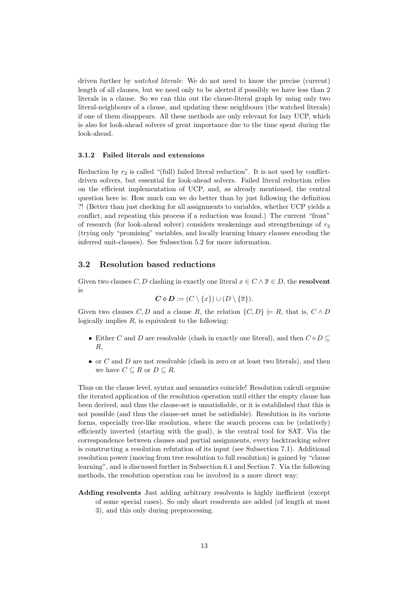driven further by watched literals: We do not need to know the precise (current) length of all clauses, but we need only to be alerted if possibly we have less than 2 literals in a clause. So we can thin out the clause-literal graph by using only two literal-neighbours of a clause, and updating these neighbours (the watched literals) if one of them disappears. All these methods are only relevant for lazy UCP, which is also for look-ahead solvers of great importance due to the time spent during the look-ahead.

#### 3.1.2 Failed literals and extensions

Reduction by  $r_2$  is called "(full) failed literal reduction". It is not used by conflictdriven solvers, but essential for look-ahead solvers. Failed literal reduction relies on the efficient implementation of UCP, and, as already mentioned, the central question here is: How much can we do better than by just following the definition ?! (Better than just checking for all assignments to variables, whether UCP yields a conflict, and repeating this process if a reduction was found.) The current "front" of research (for look-ahead solver) considers weakenings and strengthenings of  $r_2$ (trying only "promising" variables, and locally learning binary clauses encoding the inferred unit-clauses). See Subsection 5.2 for more information.

### 3.2 Resolution based reductions

Given two clauses C, D clashing in exactly one literal  $x \in C \wedge \overline{x} \in D$ , the resolvent is

$$
C \diamond D := (C \setminus \{x\}) \cup (D \setminus \{\overline{x}\}).
$$

Given two clauses C, D and a clause R, the relation  $\{C, D\} \models R$ , that is,  $C \wedge D$ logically implies  $R$ , is equivalent to the following:

- Either C and D are resolvable (clash in exactly one literal), and then  $C \diamond D \subseteq$ R,
- or  $C$  and  $D$  are not resolvable (clash in zero or at least two literals), and then we have  $C \subseteq R$  or  $D \subseteq R$ .

Thus on the clause level, syntax and semantics coincide! Resolution calculi organise the iterated application of the resolution operation until either the empty clause has been derived, and thus the clause-set is unsatisfiable, or it is established that this is not possible (and thus the clause-set must be satisfiable). Resolution in its various forms, especially tree-like resolution, where the search process can be (relatively) efficiently inverted (starting with the goal), is the central tool for SAT. Via the correspondence between clauses and partial assignments, every backtracking solver is constructing a resolution refutation of its input (see Subsection 7.1). Additional resolution power (moving from tree resolution to full resolution) is gained by "clause learning", and is discussed further in Subsection 6.1 and Section 7. Via the following methods, the resolution operation can be involved in a more direct way:

Adding resolvents Just adding arbitrary resolvents is highly inefficient (except of some special cases). So only short resolvents are added (of length at most 3), and this only during preprocessing.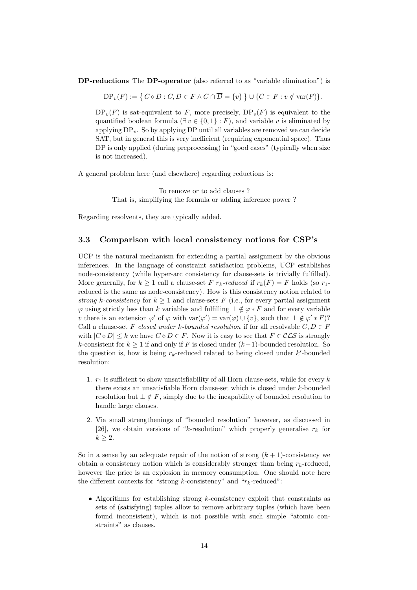DP-reductions The DP-operator (also referred to as "variable elimination") is

 $DP_v(F) := \{ C \diamond D : C, D \in F \wedge C \cap \overline{D} = \{ v \} \} \cup \{ C \in F : v \notin \text{var}(F) \}.$ 

 $DP<sub>v</sub>(F)$  is sat-equivalent to F, more precisely,  $DP<sub>v</sub>(F)$  is equivalent to the quantified boolean formula ( $\exists v \in \{0,1\} : F$ ), and variable v is eliminated by applying  $DP<sub>v</sub>$ . So by applying  $DP$  until all variables are removed we can decide SAT, but in general this is very inefficient (requiring exponential space). Thus DP is only applied (during preprocessing) in "good cases" (typically when size is not increased).

A general problem here (and elsewhere) regarding reductions is:

To remove or to add clauses ? That is, simplifying the formula or adding inference power ?

Regarding resolvents, they are typically added.

## 3.3 Comparison with local consistency notions for CSP's

UCP is the natural mechanism for extending a partial assignment by the obvious inferences. In the language of constraint satisfaction problems, UCP establishes node-consistency (while hyper-arc consistency for clause-sets is trivially fulfilled). More generally, for  $k \geq 1$  call a clause-set F  $r_k$ -reduced if  $r_k(F) = F$  holds (so  $r_1$ reduced is the same as node-consistency). How is this consistency notion related to strong k-consistency for  $k \geq 1$  and clause-sets F (i.e., for every partial assignment  $\varphi$  using strictly less than k variables and fulfilling  $\bot \notin \varphi * F$  and for every variable v there is an extension  $\varphi'$  of  $\varphi$  with  $var(\varphi') = var(\varphi) \cup \{v\}$ , such that  $\bot \notin \varphi' * F$ ? Call a clause-set F closed under k-bounded resolution if for all resolvable  $C, D \in F$ with  $|C \diamond D| \leq k$  we have  $C \diamond D \in F$ . Now it is easy to see that  $F \in \mathcal{CLS}$  is strongly k-consistent for  $k \geq 1$  if and only if F is closed under  $(k-1)$ -bounded resolution. So the question is, how is being  $r_k$ -reduced related to being closed under  $k'$ -bounded resolution:

- 1.  $r_1$  is sufficient to show unsatisfiability of all Horn clause-sets, while for every  $k$ there exists an unsatisfiable Horn clause-set which is closed under k-bounded resolution but  $\perp \notin F$ , simply due to the incapability of bounded resolution to handle large clauses.
- 2. Via small strengthenings of "bounded resolution" however, as discussed in [26], we obtain versions of "k-resolution" which properly generalise  $r_k$  for  $k \geq 2$ .

So in a sense by an adequate repair of the notion of strong  $(k + 1)$ -consistency we obtain a consistency notion which is considerably stronger than being  $r_k$ -reduced, however the price is an explosion in memory consumption. One should note here the different contexts for "strong k-consistency" and " $r_k$ -reduced":

• Algorithms for establishing strong  $k$ -consistency exploit that constraints as sets of (satisfying) tuples allow to remove arbitrary tuples (which have been found inconsistent), which is not possible with such simple "atomic constraints" as clauses.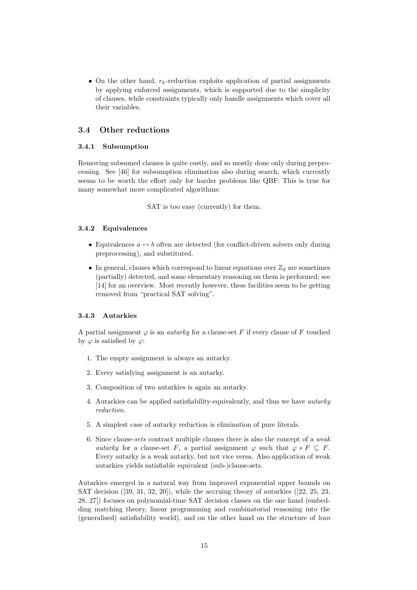• On the other hand,  $r_k$ -reduction exploits application of partial assignments by applying enforced assignments, which is supported due to the simplicity of clauses, while constraints typically only handle assignments which cover all their variables.

## 3.4 Other reductions

### 3.4.1 Subsumption

Removing subsumed clauses is quite costly, and so mostly done only during preprocessing. See [46] for subsumption elimination also during search, which currently seems to be worth the effort only for harder problems like QBF. This is true for many somewhat more complicated algorithms:

SAT is too easy (currently) for them.

#### 3.4.2 Equivalences

- Equivalences  $a \leftrightarrow b$  often are detected (for conflict-driven solvers only during preprocessing), and substituted.
- In general, clauses which correspond to linear equations over  $\mathbb{Z}_2$  are sometimes (partially) detected, and some elementary reasoning on them is performed; see [14] for an overview. Most recently however, these facilities seem to be getting removed from "practical SAT solving".

### 3.4.3 Autarkies

A partial assignment  $\varphi$  is an *autarky* for a clause-set F if every clause of F touched by  $\varphi$  is satisfied by  $\varphi$ :

- 1. The empty assignment is always an autarky.
- 2. Every satisfying assignment is an autarky.
- 3. Composition of two autarkies is again an autarky.
- 4. Autarkies can be applied satisfiability-equivalently, and thus we have autarky reduction.
- 5. A simplest case of autarky reduction is elimination of pure literals.
- 6. Since clause-sets contract multiple clauses there is also the concept of a weak autarky for a clause-set F, a partial assignment  $\varphi$  such that  $\varphi * F \subseteq F$ . Every autarky is a weak autarky, but not vice versa. Also application of weak autarkies yields satisfiable equivalent (sub-)clause-sets.

Autarkies emerged in a natural way from improved exponential upper bounds on SAT decision ([39, 31, 32, 20]), while the accruing theory of autarkies ([22, 25, 23, 28, 27]) focuses on polynomial-time SAT decision classes on the one hand (embedding matching theory, linear programming and combinatorial reasoning into the (generalised) satisfiability world), and on the other hand on the structure of lean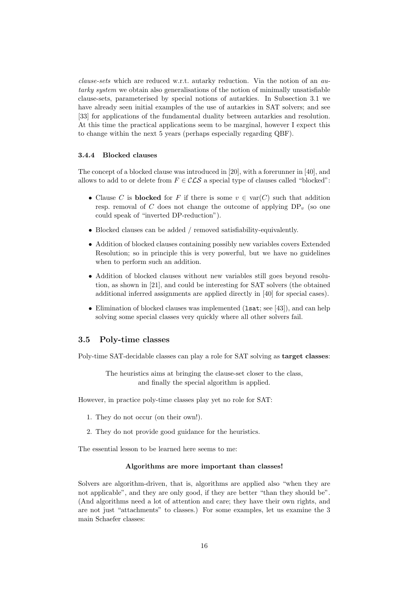clause-sets which are reduced w.r.t. autarky reduction. Via the notion of an autarky system we obtain also generalisations of the notion of minimally unsatisfiable clause-sets, parameterised by special notions of autarkies. In Subsection 3.1 we have already seen initial examples of the use of autarkies in SAT solvers; and see [33] for applications of the fundamental duality between autarkies and resolution. At this time the practical applications seem to be marginal, however I expect this to change within the next 5 years (perhaps especially regarding QBF).

#### 3.4.4 Blocked clauses

The concept of a blocked clause was introduced in [20], with a forerunner in [40], and allows to add to or delete from  $F \in \mathcal{CLS}$  a special type of clauses called "blocked":

- Clause C is **blocked** for F if there is some  $v \in \text{var}(C)$  such that addition resp. removal of C does not change the outcome of applying  $DP<sub>v</sub>$  (so one could speak of "inverted DP-reduction").
- Blocked clauses can be added / removed satisfiability-equivalently.
- Addition of blocked clauses containing possibly new variables covers Extended Resolution; so in principle this is very powerful, but we have no guidelines when to perform such an addition.
- Addition of blocked clauses without new variables still goes beyond resolution, as shown in [21], and could be interesting for SAT solvers (the obtained additional inferred assignments are applied directly in [40] for special cases).
- Elimination of blocked clauses was implemented (1sat; see [43]), and can help solving some special classes very quickly where all other solvers fail.

### 3.5 Poly-time classes

Poly-time SAT-decidable classes can play a role for SAT solving as target classes:

The heuristics aims at bringing the clause-set closer to the class, and finally the special algorithm is applied.

However, in practice poly-time classes play yet no role for SAT:

- 1. They do not occur (on their own!).
- 2. They do not provide good guidance for the heuristics.

The essential lesson to be learned here seems to me:

#### Algorithms are more important than classes!

Solvers are algorithm-driven, that is, algorithms are applied also "when they are not applicable", and they are only good, if they are better "than they should be". (And algorithms need a lot of attention and care; they have their own rights, and are not just "attachments" to classes.) For some examples, let us examine the 3 main Schaefer classes: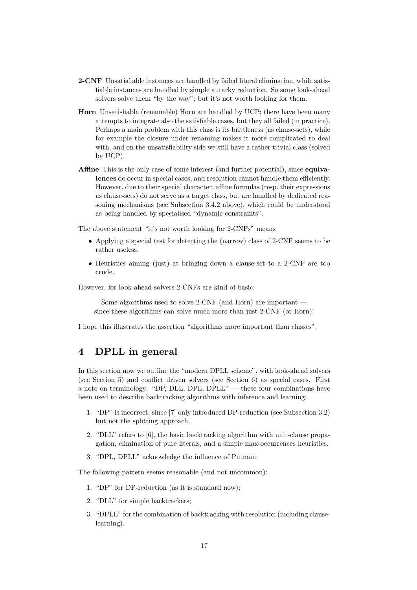- 2-CNF Unsatisfiable instances are handled by failed literal elimination, while satisfiable instances are handled by simple autarky reduction. So some look-ahead solvers solve them "by the way"; but it's not worth looking for them.
- Horn Unsatisfiable (renamable) Horn are handled by UCP; there have been many attempts to integrate also the satisfiable cases, but they all failed (in practice). Perhaps a main problem with this class is its brittleness (as clause-sets), while for example the closure under renaming makes it more complicated to deal with, and on the unsatisfiability side we still have a rather trivial class (solved by UCP).
- Affine This is the only case of some interest (and further potential), since equivalences do occur in special cases, and resolution cannot handle them efficiently. However, due to their special character, affine formulas (resp. their expressions as clause-sets) do not serve as a target class, but are handled by dedicated reasoning mechanisms (see Subsection 3.4.2 above), which could be understood as being handled by specialised "dynamic constraints".

The above statement "it's not worth looking for 2-CNFs" means

- Applying a special test for detecting the (narrow) class of 2-CNF seems to be rather useless.
- Heuristics aiming (just) at bringing down a clause-set to a 2-CNF are too crude.

However, for look-ahead solvers 2-CNFs are kind of basic:

Some algorithms used to solve 2-CNF (and Horn) are important since these algorithms can solve much more than just 2-CNF (or Horn)!

I hope this illustrates the assertion "algorithms more important than classes".

# 4 DPLL in general

In this section now we outline the "modern DPLL scheme", with look-ahead solvers (see Section 5) and conflict driven solvers (see Section 6) as special cases. First a note on terminology: "DP, DLL, DPL, DPLL" — these four combinations have been used to describe backtracking algorithms with inference and learning:

- 1. "DP" is incorrect, since [7] only introduced DP-reduction (see Subsection 3.2) but not the splitting approach.
- 2. "DLL" refers to [6], the basic backtracking algorithm with unit-clause propagation, elimination of pure literals, and a simple max-occurrences heuristics.
- 3. "DPL, DPLL" acknowledge the influence of Putnam.

The following pattern seems reasonable (and not uncommon):

- 1. "DP" for DP-reduction (as it is standard now);
- 2. "DLL" for simple backtrackers;
- 3. "DPLL" for the combination of backtracking with resolution (including clauselearning).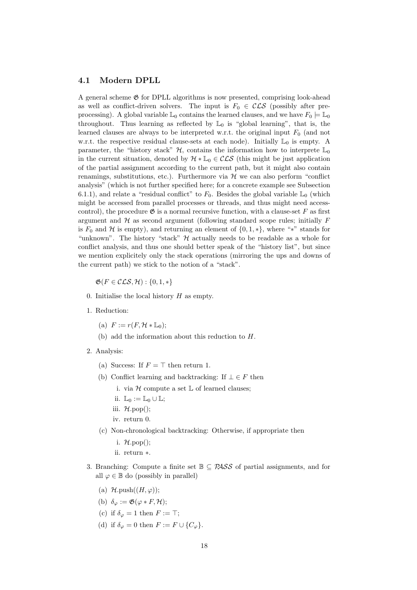## 4.1 Modern DPLL

A general scheme  $\mathfrak G$  for DPLL algorithms is now presented, comprising look-ahead as well as conflict-driven solvers. The input is  $F_0 \in \mathcal{CLS}$  (possibly after preprocessing). A global variable  $\mathbb{L}_0$  contains the learned clauses, and we have  $F_0 \models \mathbb{L}_0$ throughout. Thus learning as reflected by  $\mathbb{L}_0$  is "global learning", that is, the learned clauses are always to be interpreted w.r.t. the original input  $F_0$  (and not w.r.t. the respective residual clause-sets at each node). Initially  $\mathbb{L}_0$  is empty. A parameter, the "history stack"  $H$ , contains the information how to interprete  $\mathbb{L}_0$ in the current situation, denoted by  $\mathcal{H} * \mathbb{L}_0 \in \mathcal{CLS}$  (this might be just application of the partial assignment according to the current path, but it might also contain renamings, substitutions, etc.). Furthermore via  $H$  we can also perform "conflict" analysis" (which is not further specified here; for a concrete example see Subsection 6.1.1), and relate a "residual conflict" to  $F_0$ . Besides the global variable  $\mathbb{L}_0$  (which might be accessed from parallel processes or threads, and thus might need accesscontrol), the procedure  $\mathfrak G$  is a normal recursive function, with a clause-set F as first argument and  $H$  as second argument (following standard scope rules; initially  $F$ is  $F_0$  and H is empty), and returning an element of  $\{0, 1, *\}$ , where "\*" stands for "unknown". The history "stack"  $H$  actually needs to be readable as a whole for conflict analysis, and thus one should better speak of the "history list", but since we mention explicitely only the stack operations (mirroring the ups and downs of the current path) we stick to the notion of a "stack".

 $\mathfrak{G}(F \in \mathcal{CLS}, \mathcal{H}) : \{0, 1, *\}$ 

0. Initialise the local history  $H$  as empty.

- 1. Reduction:
	- (a)  $F := r(F, \mathcal{H} * \mathbb{L}_0);$
	- (b) add the information about this reduction to H.
- 2. Analysis:
	- (a) Success: If  $F = \top$  then return 1.
	- (b) Conflict learning and backtracking: If  $\bot \in F$  then
		- i. via  $H$  compute a set  $L$  of learned clauses;
		- ii.  $\mathbb{L}_0 := \mathbb{L}_0 \cup \mathbb{L}$ ;
		- iii.  $\mathcal{H}.\text{pop}$  $();$
		- iv. return 0.
	- (c) Non-chronological backtracking: Otherwise, if appropriate then
		- i.  $\mathcal{H}.\text{pop}$  $);$
		- ii. return ∗.
- 3. Branching: Compute a finite set  $\mathbb{B} \subseteq PASS$  of partial assignments, and for all  $\varphi \in \mathbb{B}$  do (possibly in parallel)
	- (a)  $\mathcal{H}.\text{push}((H,\varphi));$
	- (b)  $\delta_{\varphi} := \mathfrak{G}(\varphi * F, \mathcal{H});$
	- (c) if  $\delta_{\varphi} = 1$  then  $F := \top;$
	- (d) if  $\delta_{\varphi} = 0$  then  $F := F \cup \{C_{\varphi}\}.$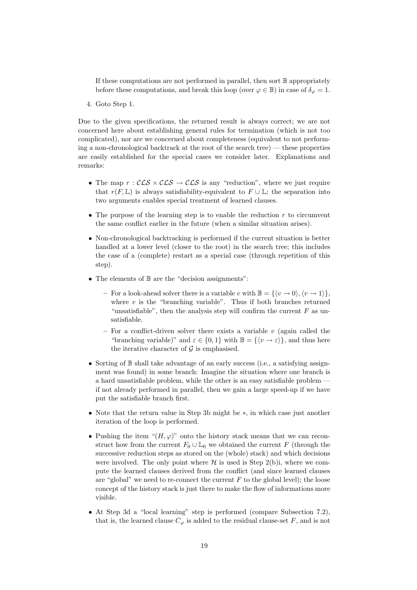If these computations are not performed in parallel, then sort  $\mathbb B$  appropriately before these computations, and break this loop (over  $\varphi \in \mathbb{B}$ ) in case of  $\delta_{\varphi} = 1$ .

4. Goto Step 1.

Due to the given specifications, the returned result is always correct; we are not concerned here about establishing general rules for termination (which is not too complicated), nor are we concerned about completeness (equivalent to not performing a non-chronological backtrack at the root of the search tree) — these properties are easily established for the special cases we consider later. Explanations and remarks:

- The map  $r : \mathcal{CLS} \times \mathcal{CLS} \rightarrow \mathcal{CLS}$  is any "reduction", where we just require that  $r(F, \mathbb{L})$  is always satisfiability-equivalent to  $F \cup \mathbb{L}$ ; the separation into two arguments enables special treatment of learned clauses.
- The purpose of the learning step is to enable the reduction  $r$  to circumvent the same conflict earlier in the future (when a similar situation arises).
- Non-chronological backtracking is performed if the current situation is better handled at a lower level (closer to the root) in the search tree; this includes the case of a (complete) restart as a special case (through repetition of this step).
- The elements of  $\mathbb B$  are the "decision assignments":
	- For a look-ahead solver there is a variable v with  $\mathbb{B} = \{ \langle v \to 0 \rangle, \langle v \to 1 \rangle \},\$ where  $v$  is the "branching variable". Thus if both branches returned "unsatisfiable", then the analysis step will confirm the current  $F$  as unsatisfiable.
	- For a conflict-driven solver there exists a variable  $v$  (again called the "branching variable)" and  $\varepsilon \in \{0, 1\}$  with  $\mathbb{B} = \{\langle v \to \varepsilon \rangle\}$ , and thus here the iterative character of  $\mathcal G$  is emphasised.
- Sorting of  $\mathbb B$  shall take advantage of an early success (i.e., a satisfying assignment was found) in some branch: Imagine the situation where one branch is a hard unsatisfiable problem, while the other is an easy satisfiable problem if not already performed in parallel, then we gain a large speed-up if we have put the satisfiable branch first.
- Note that the return value in Step 3b might be ∗, in which case just another iteration of the loop is performed.
- Pushing the item " $(H, \varphi)$ " onto the history stack means that we can reconstruct how from the current  $F_0 \cup \mathbb{L}_0$  we obtained the current F (through the successive reduction steps as stored on the (whole) stack) and which decisions were involved. The only point where  $H$  is used is Step 2(b)i, where we compute the learned clauses derived from the conflict (and since learned clauses are "global" we need to re-connect the current  $F$  to the global level); the loose concept of the history stack is just there to make the flow of informations more visible.
- At Step 3d a "local learning" step is performed (compare Subsection 7.2), that is, the learned clause  $C_{\varphi}$  is added to the residual clause-set F, and is not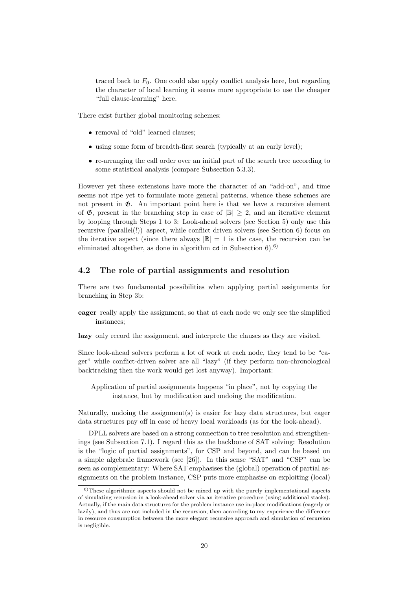traced back to  $F_0$ . One could also apply conflict analysis here, but regarding the character of local learning it seems more appropriate to use the cheaper "full clause-learning" here.

There exist further global monitoring schemes:

- removal of "old" learned clauses:
- using some form of breadth-first search (typically at an early level);
- re-arranging the call order over an initial part of the search tree according to some statistical analysis (compare Subsection 5.3.3).

However yet these extensions have more the character of an "add-on", and time seems not ripe yet to formulate more general patterns, whence these schemes are not present in  $\mathfrak{G}$ . An important point here is that we have a recursive element of  $\mathfrak{G}$ , present in the branching step in case of  $|\mathbb{B}| \geq 2$ , and an iterative element by looping through Steps 1 to 3: Look-ahead solvers (see Section 5) only use this recursive (parallel(!)) aspect, while conflict driven solvers (see Section 6) focus on the iterative aspect (since there always  $|\mathbb{B}| = 1$  is the case, the recursion can be eliminated altogether, as done in algorithm  $cd$  in Subsection 6).<sup>6)</sup>

## 4.2 The role of partial assignments and resolution

There are two fundamental possibilities when applying partial assignments for branching in Step 3b:

- eager really apply the assignment, so that at each node we only see the simplified instances;
- lazy only record the assignment, and interprete the clauses as they are visited.

Since look-ahead solvers perform a lot of work at each node, they tend to be "eager" while conflict-driven solver are all "lazy" (if they perform non-chronological backtracking then the work would get lost anyway). Important:

Application of partial assignments happens "in place", not by copying the instance, but by modification and undoing the modification.

Naturally, undoing the assignment(s) is easier for lazy data structures, but eager data structures pay off in case of heavy local workloads (as for the look-ahead).

DPLL solvers are based on a strong connection to tree resolution and strengthenings (see Subsection 7.1). I regard this as the backbone of SAT solving: Resolution is the "logic of partial assignments", for CSP and beyond, and can be based on a simple algebraic framework (see [26]). In this sense "SAT" and "CSP" can be seen as complementary: Where SAT emphasises the (global) operation of partial assignments on the problem instance, CSP puts more emphasise on exploiting (local)

 $6)$ These algorithmic aspects should not be mixed up with the purely implementational aspects of simulating recursion in a look-ahead solver via an iterative procedure (using additional stacks). Actually, if the main data structures for the problem instance use in-place modifications (eagerly or lazily), and thus are not included in the recursion, then according to my experience the difference in resource consumption between the more elegant recursive approach and simulation of recursion is negligible.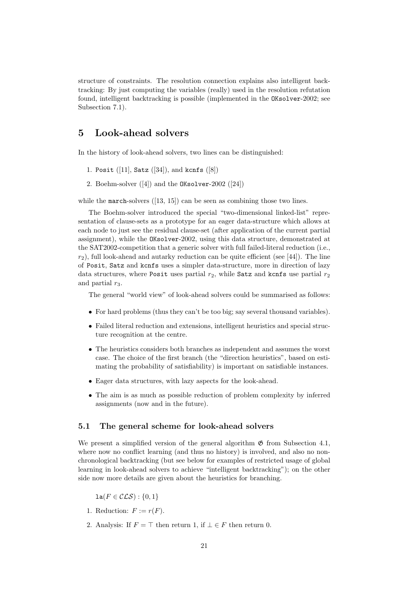structure of constraints. The resolution connection explains also intelligent backtracking: By just computing the variables (really) used in the resolution refutation found, intelligent backtracking is possible (implemented in the OKsolver-2002; see Subsection 7.1).

# 5 Look-ahead solvers

In the history of look-ahead solvers, two lines can be distinguished:

- 1. Posit ([11], Satz ([34]), and kcnfs ([8])
- 2. Boehm-solver ([4]) and the OKsolver-2002 ([24])

while the march-solvers  $([13, 15])$  can be seen as combining those two lines.

The Boehm-solver introduced the special "two-dimensional linked-list" representation of clause-sets as a prototype for an eager data-structure which allows at each node to just see the residual clause-set (after application of the current partial assignment), while the OKsolver-2002, using this data structure, demonstrated at the SAT2002-competition that a generic solver with full failed-literal reduction (i.e.,  $r_2$ , full look-ahead and autarky reduction can be quite efficient (see [44]). The line of Posit, Satz and kcnfs uses a simpler data-structure, more in direction of lazy data structures, where Posit uses partial  $r_2$ , while Satz and kcnfs use partial  $r_2$ and partial  $r_3$ .

The general "world view" of look-ahead solvers could be summarised as follows:

- For hard problems (thus they can't be too big; say several thousand variables).
- Failed literal reduction and extensions, intelligent heuristics and special structure recognition at the centre.
- The heuristics considers both branches as independent and assumes the worst case. The choice of the first branch (the "direction heuristics", based on estimating the probability of satisfiability) is important on satisfiable instances.
- Eager data structures, with lazy aspects for the look-ahead.
- The aim is as much as possible reduction of problem complexity by inferred assignments (now and in the future).

## 5.1 The general scheme for look-ahead solvers

We present a simplified version of the general algorithm  $\mathfrak{G}$  from Subsection 4.1, where now no conflict learning (and thus no history) is involved, and also no nonchronological backtracking (but see below for examples of restricted usage of global learning in look-ahead solvers to achieve "intelligent backtracking"); on the other side now more details are given about the heuristics for branching.

 $la(F \in \mathcal{CLS}) : \{0, 1\}$ 

- 1. Reduction:  $F := r(F)$ .
- 2. Analysis: If  $F = \top$  then return 1, if  $\bot \in F$  then return 0.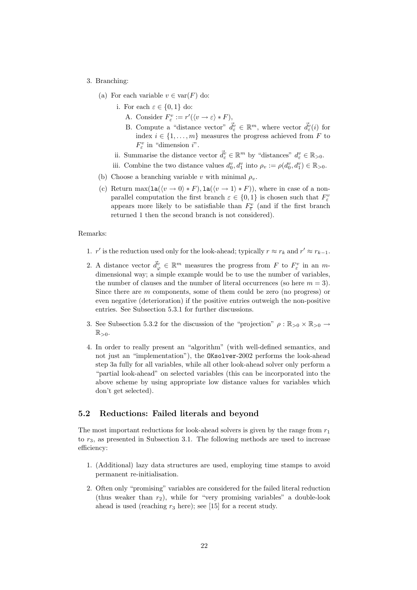#### 3. Branching:

(a) For each variable  $v \in \text{var}(F)$  do:

- i. For each  $\varepsilon \in \{0,1\}$  do:
	- A. Consider  $F_{\varepsilon}^{v} := r'(\langle v \to \varepsilon \rangle * F),$
	- B. Compute a "distance vector"  $\vec{d}_{\varepsilon}^v \in \mathbb{R}^m$ , where vector  $\vec{d}_{\varepsilon}^v(i)$  for index  $i \in \{1, \ldots, m\}$  measures the progress achieved from F to  $F^v_\varepsilon$  in "dimension i".
- ii. Summarise the distance vector  $\vec{d}_{\varepsilon}^v \in \mathbb{R}^m$  by "distances"  $d_{\varepsilon}^v \in \mathbb{R}_{>0}$ .
- iii. Combine the two distance values  $d_0^v, d_1^v$  into  $\rho_v := \rho(d_0^v, d_1^v) \in \mathbb{R}_{>0}$ .
- (b) Choose a branching variable v with minimal  $\rho_v$ .
- (c) Return max $(1a((v \rightarrow 0) * F), 1a((v \rightarrow 1) * F))$ , where in case of a nonparallel computation the first branch  $\varepsilon \in \{0,1\}$  is chosen such that  $F_{\varepsilon}^{v}$ appears more likely to be satisfiable than  $F_{\overline{\epsilon}}^{v}$  (and if the first branch returned 1 then the second branch is not considered).

#### Remarks:

- 1.  $r'$  is the reduction used only for the look-ahead; typically  $r \approx r_k$  and  $r' \approx r_{k-1}$ .
- 2. A distance vector  $\vec{d}_{\varphi}^v \in \mathbb{R}^m$  measures the progress from F to  $F_{\varepsilon}^v$  in an mdimensional way; a simple example would be to use the number of variables, the number of clauses and the number of literal occurrences (so here  $m = 3$ ). Since there are m components, some of them could be zero (no progress) or even negative (deterioration) if the positive entries outweigh the non-positive entries. See Subsection 5.3.1 for further discussions.
- 3. See Subsection 5.3.2 for the discussion of the "projection"  $\rho : \mathbb{R}_{>0} \times \mathbb{R}_{>0} \to$  $\mathbb{R}_{>0}$ .
- 4. In order to really present an "algorithm" (with well-defined semantics, and not just an "implementation"), the OKsolver-2002 performs the look-ahead step 3a fully for all variables, while all other look-ahead solver only perform a "partial look-ahead" on selected variables (this can be incorporated into the above scheme by using appropriate low distance values for variables which don't get selected).

## 5.2 Reductions: Failed literals and beyond

The most important reductions for look-ahead solvers is given by the range from  $r_1$ to  $r_3$ , as presented in Subsection 3.1. The following methods are used to increase efficiency:

- 1. (Additional) lazy data structures are used, employing time stamps to avoid permanent re-initialisation.
- 2. Often only "promising" variables are considered for the failed literal reduction (thus weaker than  $r_2$ ), while for "very promising variables" a double-look ahead is used (reaching  $r_3$  here); see [15] for a recent study.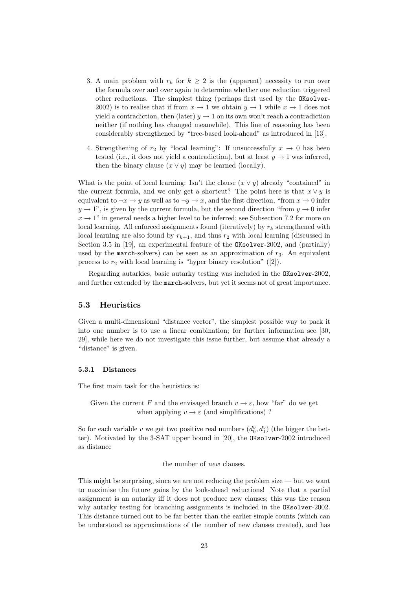- 3. A main problem with  $r_k$  for  $k \geq 2$  is the (apparent) necessity to run over the formula over and over again to determine whether one reduction triggered other reductions. The simplest thing (perhaps first used by the OKsolver-2002) is to realise that if from  $x \to 1$  we obtain  $y \to 1$  while  $x \to 1$  does not yield a contradiction, then (later)  $y \to 1$  on its own won't reach a contradiction neither (if nothing has changed meanwhile). This line of reasoning has been considerably strengthened by "tree-based look-ahead" as introduced in [13].
- 4. Strengthening of  $r_2$  by "local learning": If unsuccessfully  $x \to 0$  has been tested (i.e., it does not yield a contradiction), but at least  $y \to 1$  was inferred, then the binary clause  $(x \vee y)$  may be learned (locally).

What is the point of local learning: Isn't the clause  $(x \vee y)$  already "contained" in the current formula, and we only get a shortcut? The point here is that  $x \vee y$  is equivalent to  $\neg x \rightarrow y$  as well as to  $\neg y \rightarrow x$ , and the first direction, "from  $x \rightarrow 0$  infer  $y \rightarrow 1$ ", is given by the current formula, but the second direction "from  $y \rightarrow 0$  infer  $x \to 1$ " in general needs a higher level to be inferred; see Subsection 7.2 for more on local learning. All enforced assignments found (iteratively) by  $r_k$  strengthened with local learning are also found by  $r_{k+1}$ , and thus  $r_2$  with local learning (discussed in Section 3.5 in [19], an experimental feature of the OKsolver-2002, and (partially) used by the march-solvers) can be seen as an approximation of  $r_3$ . An equivalent process to  $r_2$  with local learning is "hyper binary resolution" ([2]).

Regarding autarkies, basic autarky testing was included in the OKsolver-2002, and further extended by the march-solvers, but yet it seems not of great importance.

## 5.3 Heuristics

Given a multi-dimensional "distance vector", the simplest possible way to pack it into one number is to use a linear combination; for further information see [30, 29], while here we do not investigate this issue further, but assume that already a "distance" is given.

#### 5.3.1 Distances

The first main task for the heuristics is:

Given the current F and the envisaged branch  $v \to \varepsilon$ , how "far" do we get when applying  $v \to \varepsilon$  (and simplifications)?

So for each variable v we get two positive real numbers  $(d_0^v, d_1^v)$  (the bigger the better). Motivated by the 3-SAT upper bound in [20], the OKsolver-2002 introduced as distance

the number of new clauses.

This might be surprising, since we are not reducing the problem size — but we want to maximise the future gains by the look-ahead reductions! Note that a partial assignment is an autarky iff it does not produce new clauses; this was the reason why autarky testing for branching assignments is included in the OKsolver-2002. This distance turned out to be far better than the earlier simple counts (which can be understood as approximations of the number of new clauses created), and has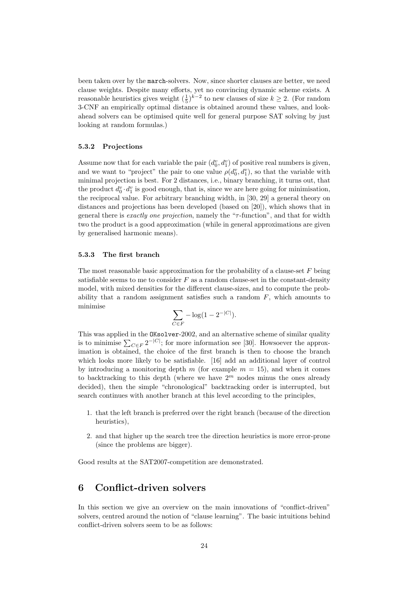been taken over by the march-solvers. Now, since shorter clauses are better, we need clause weights. Despite many efforts, yet no convincing dynamic scheme exists. A reasonable heuristics gives weight  $(\frac{1}{5})^{k-2}$  to new clauses of size  $k \geq 2$ . (For random 3-CNF an empirically optimal distance is obtained around these values, and lookahead solvers can be optimised quite well for general purpose SAT solving by just looking at random formulas.)

#### 5.3.2 Projections

Assume now that for each variable the pair  $(d_0^v, d_1^v)$  of positive real numbers is given, and we want to "project" the pair to one value  $\rho(d_0^v, d_1^v)$ , so that the variable with minimal projection is best. For 2 distances, i.e., binary branching, it turns out, that the product  $d_0^v \cdot d_1^v$  is good enough, that is, since we are here going for minimisation, the reciprocal value. For arbitrary branching width, in [30, 29] a general theory on distances and projections has been developed (based on [20]), which shows that in general there is exactly one projection, namely the "τ -function", and that for width two the product is a good approximation (while in general approximations are given by generalised harmonic means).

## 5.3.3 The first branch

The most reasonable basic approximation for the probability of a clause-set  $F$  being satisfiable seems to me to consider  $F$  as a random clause-set in the constant-density model, with mixed densities for the different clause-sizes, and to compute the probability that a random assignment satisfies such a random  $F$ , which amounts to minimise

$$
\sum_{C \in F} -\log(1 - 2^{-|C|}).
$$

This was applied in the OKsolver-2002, and an alternative scheme of similar quality is to minimise  $\sum_{C \in F} 2^{-|C|}$ ; for more information see [30]. Howsoever the approximation is obtained, the choice of the first branch is then to choose the branch which looks more likely to be satisfiable. [16] add an additional layer of control by introducing a monitoring depth m (for example  $m = 15$ ), and when it comes to backtracking to this depth (where we have  $2<sup>m</sup>$  nodes minus the ones already decided), then the simple "chronological" backtracking order is interrupted, but search continues with another branch at this level according to the principles,

- 1. that the left branch is preferred over the right branch (because of the direction heuristics),
- 2. and that higher up the search tree the direction heuristics is more error-prone (since the problems are bigger).

Good results at the SAT2007-competition are demonstrated.

# 6 Conflict-driven solvers

In this section we give an overview on the main innovations of "conflict-driven" solvers, centred around the notion of "clause learning". The basic intuitions behind conflict-driven solvers seem to be as follows: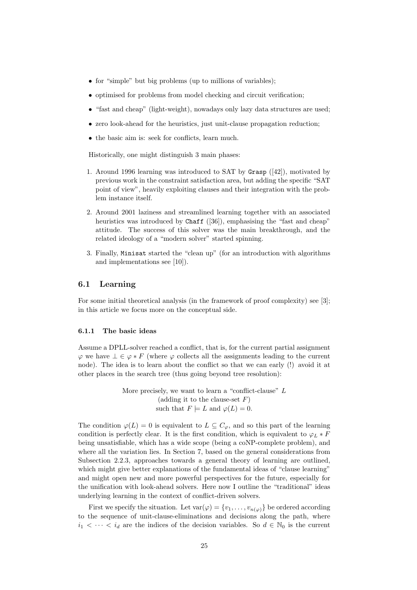- for "simple" but big problems (up to millions of variables);
- optimised for problems from model checking and circuit verification;
- "fast and cheap" (light-weight), nowadays only lazy data structures are used;
- zero look-ahead for the heuristics, just unit-clause propagation reduction;
- the basic aim is: seek for conflicts, learn much.

Historically, one might distinguish 3 main phases:

- 1. Around 1996 learning was introduced to SAT by Grasp ([42]), motivated by previous work in the constraint satisfaction area, but adding the specific "SAT point of view", heavily exploiting clauses and their integration with the problem instance itself.
- 2. Around 2001 laziness and streamlined learning together with an associated heuristics was introduced by Chaff ([36]), emphasising the "fast and cheap" attitude. The success of this solver was the main breakthrough, and the related ideology of a "modern solver" started spinning.
- 3. Finally, Minisat started the "clean up" (for an introduction with algorithms and implementations see [10]).

## 6.1 Learning

For some initial theoretical analysis (in the framework of proof complexity) see [3]; in this article we focus more on the conceptual side.

#### 6.1.1 The basic ideas

Assume a DPLL-solver reached a conflict, that is, for the current partial assignment  $\varphi$  we have  $\bot \in \varphi * F$  (where  $\varphi$  collects all the assignments leading to the current node). The idea is to learn about the conflict so that we can early (!) avoid it at other places in the search tree (thus going beyond tree resolution):

> More precisely, we want to learn a "conflict-clause"  $L$ (adding it to the clause-set  $F$ ) such that  $F \models L$  and  $\varphi(L) = 0$ .

The condition  $\varphi(L) = 0$  is equivalent to  $L \subseteq C_{\varphi}$ , and so this part of the learning condition is perfectly clear. It is the first condition, which is equivalent to  $\varphi_L * F$ being unsatisfiable, which has a wide scope (being a coNP-complete problem), and where all the variation lies. In Section 7, based on the general considerations from Subsection 2.2.3, approaches towards a general theory of learning are outlined, which might give better explanations of the fundamental ideas of "clause learning" and might open new and more powerful perspectives for the future, especially for the unification with look-ahead solvers. Here now I outline the "traditional" ideas underlying learning in the context of conflict-driven solvers.

First we specify the situation. Let  $var(\varphi) = \{v_1, \ldots, v_{n(\varphi)}\}$  be ordered according to the sequence of unit-clause-eliminations and decisions along the path, where  $i_1 < \cdots < i_d$  are the indices of the decision variables. So  $d \in \mathbb{N}_0$  is the current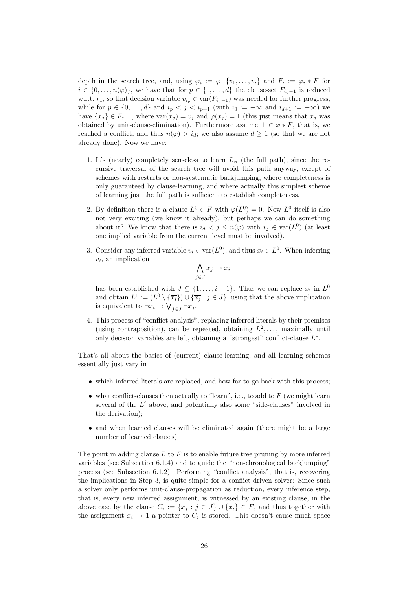depth in the search tree, and, using  $\varphi_i := \varphi \mid \{v_1, \ldots, v_i\}$  and  $F_i := \varphi_i * F$  for  $i \in \{0, \ldots, n(\varphi)\}\)$ , we have that for  $p \in \{1, \ldots, d\}$  the clause-set  $F_{i_p-1}$  is reduced w.r.t.  $r_1$ , so that decision variable  $v_{i_p} \in \text{var}(F_{i_p-1})$  was needed for further progress, while for  $p \in \{0, \ldots, d\}$  and  $i_p < j < i_{p+1}$  (with  $i_0 := -\infty$  and  $i_{d+1} := +\infty$ ) we have  $\{x_j\} \in F_{j-1}$ , where  $\text{var}(x_j) = v_j$  and  $\varphi(x_j) = 1$  (this just means that  $x_j$  was obtained by unit-clause-elimination). Furthermore assume  $\bot \in \varphi * F$ , that is, we reached a conflict, and thus  $n(\varphi) > i_d$ ; we also assume  $d \geq 1$  (so that we are not already done). Now we have:

- 1. It's (nearly) completely senseless to learn  $L_{\varphi}$  (the full path), since the recursive traversal of the search tree will avoid this path anyway, except of schemes with restarts or non-systematic backjumping, where completeness is only guaranteed by clause-learning, and where actually this simplest scheme of learning just the full path is sufficient to establish completeness.
- 2. By definition there is a clause  $L^0 \in F$  with  $\varphi(L^0) = 0$ . Now  $L^0$  itself is also not very exciting (we know it already), but perhaps we can do something about it? We know that there is  $i_d < j \leq n(\varphi)$  with  $v_j \in \text{var}(L^0)$  (at least one implied variable from the current level must be involved).
- 3. Consider any inferred variable  $v_i \in \text{var}(L^0)$ , and thus  $\overline{x_i} \in L^0$ . When inferring  $v_i$ , an implication

$$
\bigwedge_{j\in J} x_j \to x_i
$$

has been established with  $J \subseteq \{1, \ldots, i-1\}$ . Thus we can replace  $\overline{x_i}$  in  $L^0$ and obtain  $L^1 := (L^0 \setminus {\overline{x_i}}) \cup {\overline{x_j}} : j \in J$ , using that the above implication is equivalent to  $\neg x_i \rightarrow \bigvee_{j \in J} \neg x_j$ .

4. This process of "conflict analysis", replacing inferred literals by their premises (using contraposition), can be repeated, obtaining  $L^2, \ldots$ , maximally until only decision variables are left, obtaining a "strongest" conflict-clause  $L^*$ .

That's all about the basics of (current) clause-learning, and all learning schemes essentially just vary in

- which inferred literals are replaced, and how far to go back with this process;
- what conflict-clauses then actually to "learn", i.e., to add to  $F$  (we might learn several of the  $L^i$  above, and potentially also some "side-clauses" involved in the derivation);
- and when learned clauses will be eliminated again (there might be a large number of learned clauses).

The point in adding clause  $L$  to  $F$  is to enable future tree pruning by more inferred variables (see Subsection 6.1.4) and to guide the "non-chronological backjumping" process (see Subsection 6.1.2). Performing "conflict analysis", that is, recovering the implications in Step 3, is quite simple for a conflict-driven solver: Since such a solver only performs unit-clause-propagation as reduction, every inference step, that is, every new inferred assignment, is witnessed by an existing clause, in the above case by the clause  $C_i := \{\overline{x_j} : j \in J\} \cup \{x_i\} \in F$ , and thus together with the assignment  $x_i \to 1$  a pointer to  $C_i$  is stored. This doesn't cause much space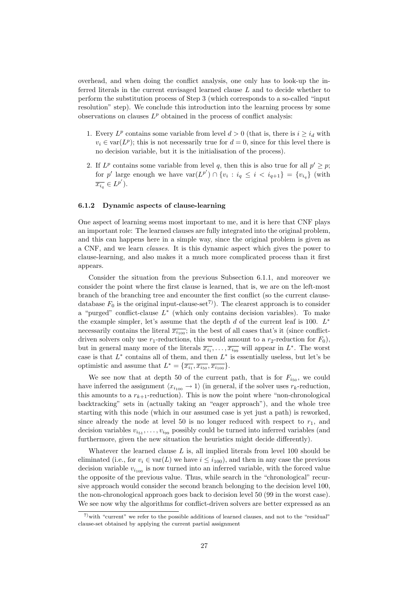overhead, and when doing the conflict analysis, one only has to look-up the inferred literals in the current envisaged learned clause L and to decide whether to perform the substitution process of Step 3 (which corresponds to a so-called "input resolution" step). We conclude this introduction into the learning process by some observations on clauses  $L^p$  obtained in the process of conflict analysis:

- 1. Every  $L^p$  contains some variable from level  $d > 0$  (that is, there is  $i \geq i_d$  with  $v_i \in \text{var}(L^p)$ ; this is not necessarily true for  $d = 0$ , since for this level there is no decision variable, but it is the initialisation of the process).
- 2. If  $L^p$  contains some variable from level q, then this is also true for all  $p' \geq p$ ; for p' large enough we have  $\text{var}(L^{p'}) \cap \{v_i : i_q \leq i \leq i_{q+1}\} = \{v_{i_q}\}\$  (with  $\overline{x_{i_q}} \in L^{p'}$ ).

#### 6.1.2 Dynamic aspects of clause-learning

One aspect of learning seems most important to me, and it is here that CNF plays an important role: The learned clauses are fully integrated into the original problem, and this can happens here in a simple way, since the original problem is given as a CNF, and we learn clauses. It is this dynamic aspect which gives the power to clause-learning, and also makes it a much more complicated process than it first appears.

Consider the situation from the previous Subsection 6.1.1, and moreover we consider the point where the first clause is learned, that is, we are on the left-most branch of the branching tree and encounter the first conflict (so the current clausedatabase  $F_0$  is the original input-clause-set<sup>7</sup>). The clearest approach is to consider a "purged" conflict-clause  $L^*$  (which only contains decision variables). To make the example simpler, let's assume that the depth  $d$  of the current leaf is 100.  $L^*$ necessarily contains the literal  $\overline{x_{i_{100}}}$ ; in the best of all cases that's it (since conflictdriven solvers only use  $r_1$ -reductions, this would amount to a  $r_2$ -reduction for  $F_0$ ), but in general many more of the literals  $\overline{x_{i_1}, \ldots, \overline{x_{i_{99}}}}$  will appear in  $L^*$ . The worst case is that  $L^*$  contains all of them, and then  $L^*$  is essentially useless, but let's be optimistic and assume that  $L^* = {\overline{x_{i_1}, \overline{x_{i_{50}}}, \overline{x_{i_{100}}}}}$ .

We see now that at depth 50 of the current path, that is for  $F_{i_{50}}$ , we could have inferred the assignment  $\langle x_{i_{100}} \rightarrow 1 \rangle$  (in general, if the solver uses  $r_k$ -reduction, this amounts to a  $r_{k+1}$ -reduction). This is now the point where "non-chronological backtracking" sets in (actually taking an "eager approach"), and the whole tree starting with this node (which in our assumed case is yet just a path) is reworked, since already the node at level 50 is no longer reduced with respect to  $r_1$ , and decision variables  $v_{i_{51}}, \ldots, v_{i_{99}}$  possibly could be turned into inferred variables (and furthermore, given the new situation the heuristics might decide differently).

Whatever the learned clause  $L$  is, all implied literals from level 100 should be eliminated (i.e., for  $v_i \in \text{var}(L)$  we have  $i \leq i_{100}$ ), and then in any case the previous decision variable  $v_{i_{100}}$  is now turned into an inferred variable, with the forced value the opposite of the previous value. Thus, while search in the "chronological" recursive approach would consider the second branch belonging to the decision level 100, the non-chronological approach goes back to decision level 50 (99 in the worst case). We see now why the algorithms for conflict-driven solvers are better expressed as an

 $7$ ) with "current" we refer to the possible additions of learned clauses, and not to the "residual" clause-set obtained by applying the current partial assignment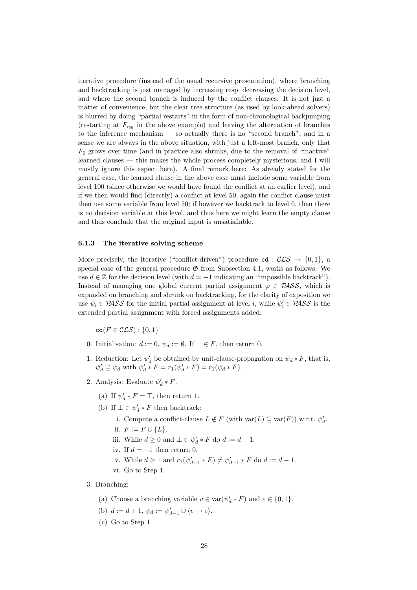iterative procedure (instead of the usual recursive presentation), where branching and backtracking is just managed by increasing resp. decreasing the decision level, and where the second branch is induced by the conflict clauses: It is not just a matter of convenience, but the clear tree structure (as used by look-ahead solvers) is blurred by doing "partial restarts" in the form of non-chronological backjumping (restarting at  $F_{i_{50}}$  in the above example) and leaving the alternation of branches to the inference mechanism — so actually there is no "second branch", and in a sense we are always in the above situation, with just a left-most branch, only that  $F_0$  grows over time (and in practice also shrinks, due to the removal of "inactive" learned clauses — this makes the whole process completely mysterious, and I will mostly ignore this aspect here). A final remark here: As already stated for the general case, the learned clause in the above case must include some variable from level 100 (since otherwise we would have found the conflict at an earlier level), and if we then would find (directly) a conflict at level 50, again the conflict clause must then use some variable from level 50; if however we backtrack to level 0, then there is no decision variable at this level, and thus here we might learn the empty clause and thus conclude that the original input is unsatisfiable.

#### 6.1.3 The iterative solving scheme

More precisely, the iterative ("conflict-driven") procedure cd :  $\mathcal{CLS} \rightarrow \{0, 1\}$ , a special case of the general procedure  $\mathfrak G$  from Subsection 4.1, works as follows. We use  $d \in \mathbb{Z}$  for the decision level (with  $d = -1$  indicating an "impossible backtrack"). Instead of managing one global current partial assignment  $\varphi \in PASS$ , which is expanded on branching and shrunk on backtracking, for the clarity of exposition we use  $\psi_i \in \mathcal{P\!ASS}$  for the initial partial assignment at level *i*, while  $\psi_i' \in \mathcal{P\!ASS}$  is the extended partial assignment with forced assignments added:

 $cd(F \in \mathcal{CLS}):\{0, 1\}$ 

- 0. Initialisation:  $d := 0$ ,  $\psi_d := \emptyset$ . If  $\bot \in F$ , then return 0.
- 1. Reduction: Let  $\psi_d'$  be obtained by unit-clause-propagation on  $\psi_d * F$ , that is,  $\psi'_d \supseteq \psi_d$  with  $\psi'_d * F = r_1(\psi'_d * F) = r_1(\psi_d * F)$ .
- 2. Analysis: Evaluate  $\psi_d' * F$ .
	- (a) If  $\psi_d' * F = \top$ , then return 1.
	- (b) If  $\bot \in \psi'_d * F$  then backtrack:
		- i. Compute a conflict-clause  $L \notin F$  (with  $var(L) \subseteq var(F)$ ) w.r.t.  $\psi'_d$ .
		- ii.  $F := F \cup \{L\}.$
		- iii. While  $d \geq 0$  and  $\bot \in \psi'_d * F$  do  $d := d 1$ .
		- iv. If  $d = -1$  then return 0.
		- v. While  $d \ge 1$  and  $r_1(\psi'_{d-1} * F) \ne \psi'_{d-1} * F$  do  $d := d 1$ .
		- vi. Go to Step 1.
- 3. Branching:
	- (a) Choose a branching variable  $v \in \text{var}(\psi_d' * F)$  and  $\varepsilon \in \{0, 1\}.$
	- (b)  $d := d + 1$ ,  $\psi_d := \psi'_{d-1} \cup \langle v \to \varepsilon \rangle$ .
	- (c) Go to Step 1.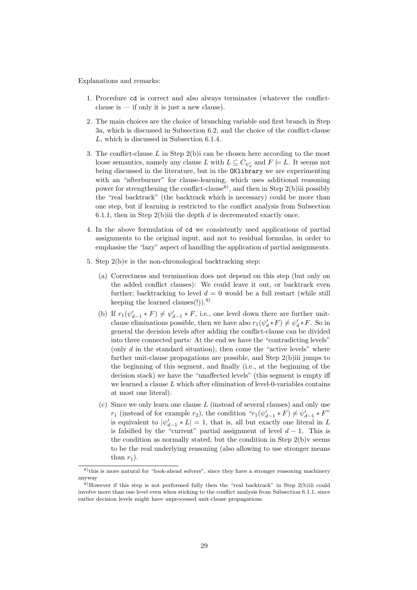Explanations and remarks:

- 1. Procedure cd is correct and also always terminates (whatever the conflictclause is  $-$  if only it is just a new clause).
- 2. The main choices are the choice of branching variable and first branch in Step 3a, which is discussed in Subsection 6.2, and the choice of the conflict-clause L, which is discussed in Subsection 6.1.4.
- 3. The conflict-clause  $L$  in Step 2(b) can be chosen here according to the most loose semantics, namely any clause L with  $L \subseteq C_{\psi'_d}$  and  $F \models L$ . It seems not being discussed in the literature, but in the **OKlibrary** we are experimenting with an "afterburner" for clause-learning, which uses additional reasoning power for strengthening the conflict-clause<sup>8)</sup>, and then in Step 2(b)iii possibly the "real backtrack" (the backtrack which is necessary) could be more than one step, but if learning is restricted to the conflict analysis from Subsection 6.1.1, then in Step 2(b)iii the depth  $d$  is decremented exactly once.
- 4. In the above formulation of cd we consistently used applications of partial assignments to the original input, and not to residual formulas, in order to emphasise the "lazy" aspect of handling the application of partial assignments.
- 5. Step 2(b)v is the non-chronological backtracking step:
	- (a) Correctness and termination does not depend on this step (but only on the added conflict clauses): We could leave it out, or backtrack even further; backtracking to level  $d = 0$  would be a full restart (while still keeping the learned clauses $(!)$ .<sup>9)</sup>
	- (b) If  $r_1(\psi'_{d-1} * F) \neq \psi'_{d-1} * F$ , i.e., one level down there are further unitclause eliminations possible, then we have also  $r_1(\psi_d' * F) \neq \psi_d' * F$ . So in general the decision levels after adding the conflict-clause can be divided into three connected parts: At the end we have the "contradicting levels" (only  $d$  in the standard situation), then come the "active levels" where further unit-clause propagations are possible, and Step 2(b)iii jumps to the beginning of this segment, and finally (i.e., at the beginning of the decision stack) we have the "unaffected levels" (this segment is empty iff we learned a clause  $L$  which after elimination of level-0-variables contains at most one literal).
	- (c) Since we only learn one clause L (instead of several clauses) and only use  $r_1$  (instead of for example  $r_2$ ), the condition " $r_1(\psi'_{d-1} * F) \neq \psi'_{d-1} * F$ " is equivalent to  $|\psi'_{d-1} * L| = 1$ , that is, all but exactly one literal in L is falsified by the "current" partial assignment of level  $d-1$ . This is the condition as normally stated, but the condition in Step 2(b)v seems to be the real underlying reasoning (also allowing to use stronger means than  $r_1$ ).

 $8)$ this is more natural for "look-ahead solvers", since they have a stronger reasoning machinery anyway

<sup>&</sup>lt;sup>9)</sup>However if this step is not performed fully then the "real backtrack" in Step 2(b)iii could involve more than one level even when sticking to the conflict analysis from Subsection 6.1.1, since earlier decision levels might have unprocessed unit-clause propagations.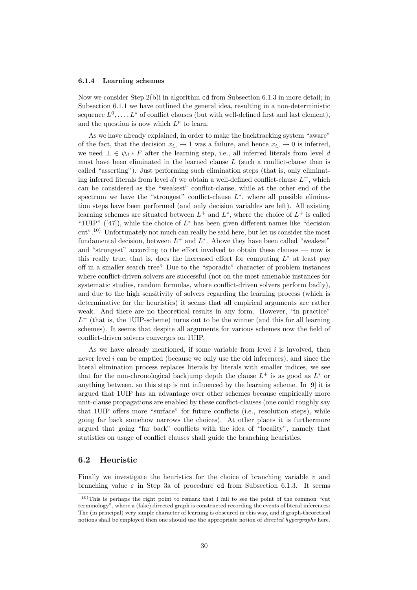#### 6.1.4 Learning schemes

Now we consider Step 2(b)i in algorithm cd from Subsection 6.1.3 in more detail; in Subsection 6.1.1 we have outlined the general idea, resulting in a non-deterministic sequence  $L^0, \ldots, L^*$  of conflict clauses (but with well-defined first and last element), and the question is now which  $L^p$  to learn.

As we have already explained, in order to make the backtracking system "aware" of the fact, that the decision  $x_{i_d} \rightarrow 1$  was a failure, and hence  $x_{i_d} \rightarrow 0$  is inferred, we need  $\bot \in \psi_d * F$  after the learning step, i.e., all inferred literals from level d must have been eliminated in the learned clause  $L$  (such a conflict-clause then is called "asserting"). Just performing such elimination steps (that is, only eliminating inferred literals from level d) we obtain a well-defined conflict-clause  $L^+$ , which can be considered as the "weakest" conflict-clause, while at the other end of the spectrum we have the "strongest" conflict-clause  $L^*$ , where all possible elimination steps have been performed (and only decision variables are left). All existing learning schemes are situated between  $L^+$  and  $L^*$ , where the choice of  $L^+$  is called "1UIP" ([47]), while the choice of  $L^*$  has been given different names like "decision" cut".10) Unfortunately not much can really be said here, but let us consider the most fundamental decision, between  $L^+$  and  $L^*$ . Above they have been called "weakest" and "strongest" according to the effort involved to obtain these clauses — now is this really true, that is, does the increased effort for computing  $L^*$  at least pay off in a smaller search tree? Due to the "sporadic" character of problem instances where conflict-driven solvers are successful (not on the most amenable instances for systematic studies, random formulas, where conflict-driven solvers perform badly), and due to the high sensitivity of solvers regarding the learning process (which is determinative for the heuristics) it seems that all empirical arguments are rather weak. And there are no theoretical results in any form. However, "in practice"  $L^+$  (that is, the 1UIP-scheme) turns out to be the winner (and this for all learning schemes). It seems that despite all arguments for various schemes now the field of conflict-driven solvers converges on 1UIP.

As we have already mentioned, if some variable from level  $i$  is involved, then never level  $i$  can be emptied (because we only use the old inferences), and since the literal elimination process replaces literals by literals with smaller indices, we see that for the non-chronological backjump depth the clause  $L^+$  is as good as  $L^*$  or anything between, so this step is not influenced by the learning scheme. In [9] it is argued that 1UIP has an advantage over other schemes because empirically more unit-clause propagations are enabled by these conflict-clauses (one could roughly say that 1UIP offers more "surface" for future conflicts (i.e., resolution steps), while going far back somehow narrows the choices). At other places it is furthermore argued that going "far back" conflicts with the idea of "locality", namely that statistics on usage of conflict clauses shall guide the branching heuristics.

## 6.2 Heuristic

Finally we investigate the heuristics for the choice of branching variable  $v$  and branching value  $\varepsilon$  in Step 3a of procedure cd from Subsection 6.1.3. It seems

<sup>10)</sup>This is perhaps the right point to remark that I fail to see the point of the common "cut terminology", where a (fake) directed graph is constructed recording the events of literal inferences: The (in principal) very simple character of learning is obscured in this way, and if graph-theoretical notions shall be employed then one should use the appropriate notion of directed hypergraphs here.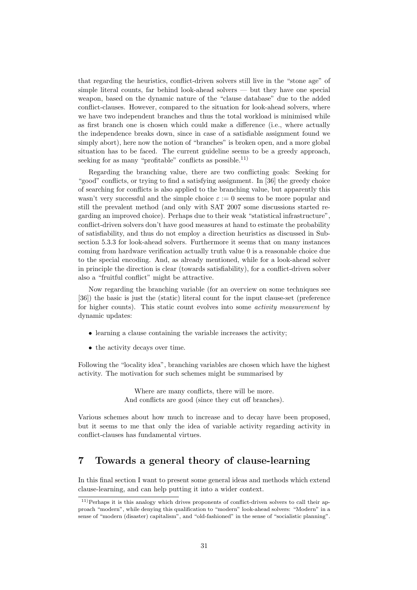that regarding the heuristics, conflict-driven solvers still live in the "stone age" of simple literal counts, far behind look-ahead solvers — but they have one special weapon, based on the dynamic nature of the "clause database" due to the added conflict-clauses. However, compared to the situation for look-ahead solvers, where we have two independent branches and thus the total workload is minimised while as first branch one is chosen which could make a difference (i.e., where actually the independence breaks down, since in case of a satisfiable assignment found we simply abort), here now the notion of "branches" is broken open, and a more global situation has to be faced. The current guideline seems to be a greedy approach, seeking for as many "profitable" conflicts as possible.<sup>11)</sup>

Regarding the branching value, there are two conflicting goals: Seeking for "good" conflicts, or trying to find a satisfying assignment. In [36] the greedy choice of searching for conflicts is also applied to the branching value, but apparently this wasn't very successful and the simple choice  $\varepsilon := 0$  seems to be more popular and still the prevalent method (and only with SAT 2007 some discussions started regarding an improved choice). Perhaps due to their weak "statistical infrastructure", conflict-driven solvers don't have good measures at hand to estimate the probability of satisfiability, and thus do not employ a direction heuristics as discussed in Subsection 5.3.3 for look-ahead solvers. Furthermore it seems that on many instances coming from hardware verification actually truth value 0 is a reasonable choice due to the special encoding. And, as already mentioned, while for a look-ahead solver in principle the direction is clear (towards satisfiability), for a conflict-driven solver also a "fruitful conflict" might be attractive.

Now regarding the branching variable (for an overview on some techniques see [36]) the basic is just the (static) literal count for the input clause-set (preference for higher counts). This static count evolves into some *activity measurement* by dynamic updates:

- learning a clause containing the variable increases the activity;
- the activity decays over time.

Following the "locality idea", branching variables are chosen which have the highest activity. The motivation for such schemes might be summarised by

> Where are many conflicts, there will be more. And conflicts are good (since they cut off branches).

Various schemes about how much to increase and to decay have been proposed, but it seems to me that only the idea of variable activity regarding activity in conflict-clauses has fundamental virtues.

# 7 Towards a general theory of clause-learning

In this final section I want to present some general ideas and methods which extend clause-learning, and can help putting it into a wider context.

<sup>11)</sup>Perhaps it is this analogy which drives proponents of conflict-driven solvers to call their approach "modern", while denying this qualification to "modern" look-ahead solvers: "Modern" in a sense of "modern (disaster) capitalism", and "old-fashioned" in the sense of "socialistic planning".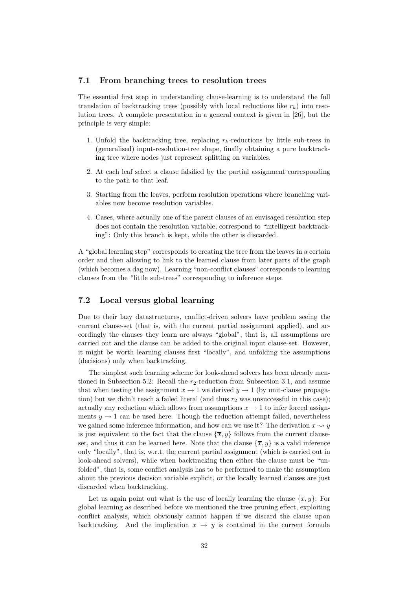## 7.1 From branching trees to resolution trees

The essential first step in understanding clause-learning is to understand the full translation of backtracking trees (possibly with local reductions like  $r_k$ ) into resolution trees. A complete presentation in a general context is given in [26], but the principle is very simple:

- 1. Unfold the backtracking tree, replacing  $r_k$ -reductions by little sub-trees in (generalised) input-resolution-tree shape, finally obtaining a pure backtracking tree where nodes just represent splitting on variables.
- 2. At each leaf select a clause falsified by the partial assignment corresponding to the path to that leaf.
- 3. Starting from the leaves, perform resolution operations where branching variables now become resolution variables.
- 4. Cases, where actually one of the parent clauses of an envisaged resolution step does not contain the resolution variable, correspond to "intelligent backtracking": Only this branch is kept, while the other is discarded.

A "global learning step" corresponds to creating the tree from the leaves in a certain order and then allowing to link to the learned clause from later parts of the graph (which becomes a dag now). Learning "non-conflict clauses" corresponds to learning clauses from the "little sub-trees" corresponding to inference steps.

## 7.2 Local versus global learning

Due to their lazy datastructures, conflict-driven solvers have problem seeing the current clause-set (that is, with the current partial assignment applied), and accordingly the clauses they learn are always "global", that is, all assumptions are carried out and the clause can be added to the original input clause-set. However, it might be worth learning clauses first "locally", and unfolding the assumptions (decisions) only when backtracking.

The simplest such learning scheme for look-ahead solvers has been already mentioned in Subsection 5.2: Recall the  $r_2$ -reduction from Subsection 3.1, and assume that when testing the assignment  $x \to 1$  we derived  $y \to 1$  (by unit-clause propagation) but we didn't reach a failed literal (and thus  $r_2$  was unsuccessful in this case); actually any reduction which allows from assumptions  $x \to 1$  to infer forced assignments  $y \to 1$  can be used here. Though the reduction attempt failed, nevertheless we gained some inference information, and how can we use it? The derivation  $x \sim y$ is just equivalent to the fact that the clause  $\{\bar{x}, y\}$  follows from the current clauseset, and thus it can be learned here. Note that the clause  $\{\bar{x}, y\}$  is a valid inference only "locally", that is, w.r.t. the current partial assignment (which is carried out in look-ahead solvers), while when backtracking then either the clause must be "unfolded", that is, some conflict analysis has to be performed to make the assumption about the previous decision variable explicit, or the locally learned clauses are just discarded when backtracking.

Let us again point out what is the use of locally learning the clause  $\{\bar{x}, y\}$ : For global learning as described before we mentioned the tree pruning effect, exploiting conflict analysis, which obviously cannot happen if we discard the clause upon backtracking. And the implication  $x \to y$  is contained in the current formula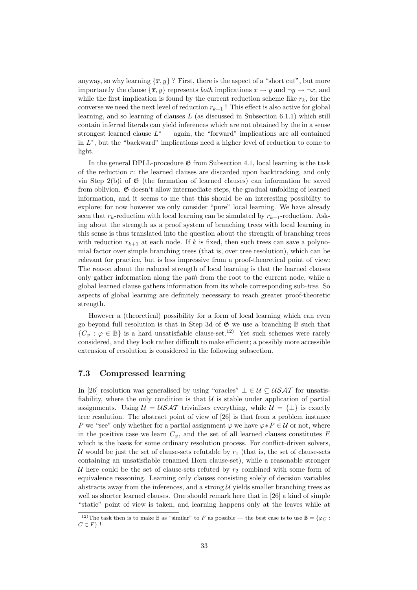anyway, so why learning  $\{\overline{x}, y\}$ ? First, there is the aspect of a "short cut", but more importantly the clause  $\{\overline{x}, y\}$  represents *both* implications  $x \to y$  and  $\neg y \to \neg x$ , and while the first implication is found by the current reduction scheme like  $r_k$ , for the converse we need the next level of reduction  $r_{k+1}$ ! This effect is also active for global learning, and so learning of clauses  $L$  (as discussed in Subsection 6.1.1) which still contain inferred literals can yield inferences which are not obtained by the in a sense strongest learned clause  $L^*$  — again, the "forward" implications are all contained in  $L^*$ , but the "backward" implications need a higher level of reduction to come to light.

In the general DPLL-procedure  $\mathfrak{G}$  from Subsection 4.1, local learning is the task of the reduction r: the learned clauses are discarded upon backtracking, and only via Step 2(b)i of  $\mathfrak{G}$  (the formation of learned clauses) can information be saved from oblivion.  $\mathfrak G$  doesn't allow intermediate steps, the gradual unfolding of learned information, and it seems to me that this should be an interesting possibility to explore; for now however we only consider "pure" local learning. We have already seen that  $r_k$ -reduction with local learning can be simulated by  $r_{k+1}$ -reduction. Asking about the strength as a proof system of branching trees with local learning in this sense is thus translated into the question about the strength of branching trees with reduction  $r_{k+1}$  at each node. If k is fixed, then such trees can save a polynomial factor over simple branching trees (that is, over tree resolution), which can be relevant for practice, but is less impressive from a proof-theoretical point of view: The reason about the reduced strength of local learning is that the learned clauses only gather information along the path from the root to the current node, while a global learned clause gathers information from its whole corresponding sub-tree. So aspects of global learning are definitely necessary to reach greater proof-theoretic strength.

However a (theoretical) possibility for a form of local learning which can even go beyond full resolution is that in Step 3d of  $\mathfrak G$  we use a branching  $\mathbb B$  such that  ${C_\varphi : \varphi \in \mathbb{B}}$  is a hard unsatisfiable clause-set.<sup>12)</sup> Yet such schemes were rarely considered, and they look rather difficult to make efficient; a possibly more accessible extension of resolution is considered in the following subsection.

## 7.3 Compressed learning

In [26] resolution was generalised by using "oracles"  $\bot \in \mathcal{U} \subseteq \mathcal{U}\mathcal{S}\mathcal{A}\mathcal{T}$  for unsatisfiability, where the only condition is that  $U$  is stable under application of partial assignments. Using  $\mathcal{U} = \mathcal{U}\mathcal{S}\mathcal{A}\mathcal{T}$  trivialises everything, while  $\mathcal{U} = {\perp}$  is exactly tree resolution. The abstract point of view of [26] is that from a problem instance P we "see" only whether for a partial assignment  $\varphi$  we have  $\varphi * P \in \mathcal{U}$  or not, where in the positive case we learn  $C_{\varphi}$ , and the set of all learned clauses constitutes F which is the basis for some ordinary resolution process. For conflict-driven solvers, U would be just the set of clause-sets refutable by  $r_1$  (that is, the set of clause-sets containing an unsatisfiable renamed Horn clause-set), while a reasonable stronger U here could be the set of clause-sets refuted by  $r_2$  combined with some form of equivalence reasoning. Learning only clauses consisting solely of decision variables abstracts away from the inferences, and a strong  $U$  yields smaller branching trees as well as shorter learned clauses. One should remark here that in [26] a kind of simple "static" point of view is taken, and learning happens only at the leaves while at

<sup>&</sup>lt;sup>12)</sup>The task then is to make  $\mathbb B$  as "similar" to F as possible — the best case is to use  $\mathbb B = \{ \varphi_C :$  $C \in F$  !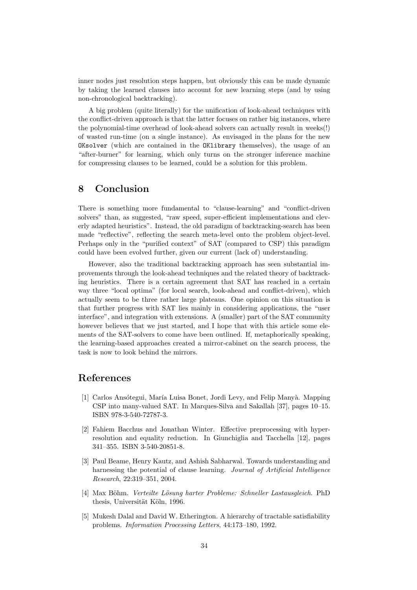inner nodes just resolution steps happen, but obviously this can be made dynamic by taking the learned clauses into account for new learning steps (and by using non-chronological backtracking).

A big problem (quite literally) for the unification of look-ahead techniques with the conflict-driven approach is that the latter focuses on rather big instances, where the polynomial-time overhead of look-ahead solvers can actually result in weeks(!) of wasted run-time (on a single instance). As envisaged in the plans for the new OKsolver (which are contained in the OKlibrary themselves), the usage of an "after-burner" for learning, which only turns on the stronger inference machine for compressing clauses to be learned, could be a solution for this problem.

# 8 Conclusion

There is something more fundamental to "clause-learning" and "conflict-driven solvers" than, as suggested, "raw speed, super-efficient implementations and cleverly adapted heuristics". Instead, the old paradigm of backtracking-search has been made "reflective", reflecting the search meta-level onto the problem object-level. Perhaps only in the "purified context" of SAT (compared to CSP) this paradigm could have been evolved further, given our current (lack of) understanding.

However, also the traditional backtracking approach has seen substantial improvements through the look-ahead techniques and the related theory of backtracking heuristics. There is a certain agreement that SAT has reached in a certain way three "local optima" (for local search, look-ahead and conflict-driven), which actually seem to be three rather large plateaus. One opinion on this situation is that further progress with SAT lies mainly in considering applications, the "user interface", and integration with extensions. A (smaller) part of the SAT community however believes that we just started, and I hope that with this article some elements of the SAT-solvers to come have been outlined. If, metaphorically speaking, the learning-based approaches created a mirror-cabinet on the search process, the task is now to look behind the mirrors.

## References

- [1] Carlos Ansótegui, María Luisa Bonet, Jordi Levy, and Felip Manyà. Mapping CSP into many-valued SAT. In Marques-Silva and Sakallah [37], pages 10–15. ISBN 978-3-540-72787-3.
- [2] Fahiem Bacchus and Jonathan Winter. Effective preprocessing with hyperresolution and equality reduction. In Giunchiglia and Tacchella [12], pages 341–355. ISBN 3-540-20851-8.
- [3] Paul Beame, Henry Kautz, and Ashish Sabharwal. Towards understanding and harnessing the potential of clause learning. Journal of Artificial Intelligence Research, 22:319–351, 2004.
- [4] Max Böhm. Verteilte Lösung harter Probleme: Schneller Lastausgleich. PhD thesis, Universität Köln, 1996.
- [5] Mukesh Dalal and David W. Etherington. A hierarchy of tractable satisfiability problems. Information Processing Letters, 44:173–180, 1992.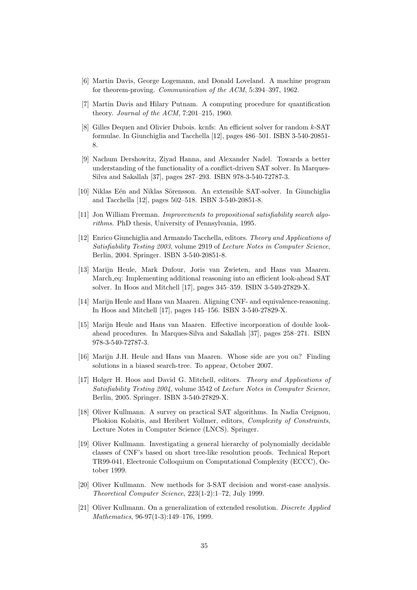- [6] Martin Davis, George Logemann, and Donald Loveland. A machine program for theorem-proving. Communication of the ACM, 5:394–397, 1962.
- [7] Martin Davis and Hilary Putnam. A computing procedure for quantification theory. Journal of the ACM, 7:201–215, 1960.
- [8] Gilles Dequen and Olivier Dubois. kcnfs: An efficient solver for random k-SAT formulae. In Giunchiglia and Tacchella [12], pages 486–501. ISBN 3-540-20851- 8.
- [9] Nachum Dershowitz, Ziyad Hanna, and Alexander Nadel. Towards a better understanding of the functionality of a conflict-driven SAT solver. In Marques-Silva and Sakallah [37], pages 287–293. ISBN 978-3-540-72787-3.
- [10] Niklas Eén and Niklas Sörensson. An extensible SAT-solver. In Giunchiglia and Tacchella [12], pages 502–518. ISBN 3-540-20851-8.
- [11] Jon William Freeman. Improvements to propositional satisfiability search algorithms. PhD thesis, University of Pennsylvania, 1995.
- [12] Enrico Giunchiglia and Armando Tacchella, editors. Theory and Applications of Satisfiability Testing 2003, volume 2919 of Lecture Notes in Computer Science, Berlin, 2004. Springer. ISBN 3-540-20851-8.
- [13] Marijn Heule, Mark Dufour, Joris van Zwieten, and Hans van Maaren. March eq: Implementing additional reasoning into an efficient look-ahead SAT solver. In Hoos and Mitchell [17], pages 345–359. ISBN 3-540-27829-X.
- [14] Marijn Heule and Hans van Maaren. Aligning CNF- and equivalence-reasoning. In Hoos and Mitchell [17], pages 145–156. ISBN 3-540-27829-X.
- [15] Marijn Heule and Hans van Maaren. Effective incorporation of double lookahead procedures. In Marques-Silva and Sakallah [37], pages 258–271. ISBN 978-3-540-72787-3.
- [16] Marijn J.H. Heule and Hans van Maaren. Whose side are you on? Finding solutions in a biased search-tree. To appear, October 2007.
- [17] Holger H. Hoos and David G. Mitchell, editors. Theory and Applications of Satisfiability Testing 2004, volume 3542 of Lecture Notes in Computer Science, Berlin, 2005. Springer. ISBN 3-540-27829-X.
- [18] Oliver Kullmann. A survey on practical SAT algorithms. In Nadia Creignou, Phokion Kolaitis, and Heribert Vollmer, editors, Complexity of Constraints, Lecture Notes in Computer Science (LNCS). Springer.
- [19] Oliver Kullmann. Investigating a general hierarchy of polynomially decidable classes of CNF's based on short tree-like resolution proofs. Technical Report TR99-041, Electronic Colloquium on Computational Complexity (ECCC), October 1999.
- [20] Oliver Kullmann. New methods for 3-SAT decision and worst-case analysis. Theoretical Computer Science, 223(1-2):1–72, July 1999.
- [21] Oliver Kullmann. On a generalization of extended resolution. Discrete Applied Mathematics, 96-97(1-3):149–176, 1999.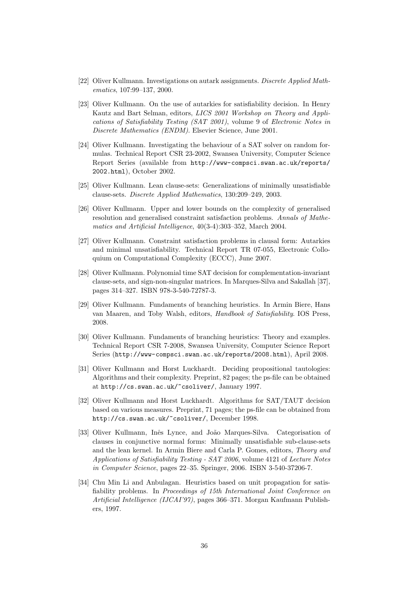- [22] Oliver Kullmann. Investigations on autark assignments. Discrete Applied Mathematics, 107:99–137, 2000.
- [23] Oliver Kullmann. On the use of autarkies for satisfiability decision. In Henry Kautz and Bart Selman, editors, LICS 2001 Workshop on Theory and Applications of Satisfiability Testing (SAT 2001), volume 9 of Electronic Notes in Discrete Mathematics (ENDM). Elsevier Science, June 2001.
- [24] Oliver Kullmann. Investigating the behaviour of a SAT solver on random formulas. Technical Report CSR 23-2002, Swansea University, Computer Science Report Series (available from http://www-compsci.swan.ac.uk/reports/ 2002.html), October 2002.
- [25] Oliver Kullmann. Lean clause-sets: Generalizations of minimally unsatisfiable clause-sets. Discrete Applied Mathematics, 130:209–249, 2003.
- [26] Oliver Kullmann. Upper and lower bounds on the complexity of generalised resolution and generalised constraint satisfaction problems. Annals of Mathematics and Artificial Intelligence, 40(3-4):303–352, March 2004.
- [27] Oliver Kullmann. Constraint satisfaction problems in clausal form: Autarkies and minimal unsatisfiability. Technical Report TR 07-055, Electronic Colloquium on Computational Complexity (ECCC), June 2007.
- [28] Oliver Kullmann. Polynomial time SAT decision for complementation-invariant clause-sets, and sign-non-singular matrices. In Marques-Silva and Sakallah [37], pages 314–327. ISBN 978-3-540-72787-3.
- [29] Oliver Kullmann. Fundaments of branching heuristics. In Armin Biere, Hans van Maaren, and Toby Walsh, editors, Handbook of Satisfiability. IOS Press, 2008.
- [30] Oliver Kullmann. Fundaments of branching heuristics: Theory and examples. Technical Report CSR 7-2008, Swansea University, Computer Science Report Series (http://www-compsci.swan.ac.uk/reports/2008.html), April 2008.
- [31] Oliver Kullmann and Horst Luckhardt. Deciding propositional tautologies: Algorithms and their complexity. Preprint, 82 pages; the ps-file can be obtained at http://cs.swan.ac.uk/~csoliver/, January 1997.
- [32] Oliver Kullmann and Horst Luckhardt. Algorithms for SAT/TAUT decision based on various measures. Preprint, 71 pages; the ps-file can be obtained from http://cs.swan.ac.uk/~csoliver/, December 1998.
- [33] Oliver Kullmann, Inês Lynce, and João Marques-Silva. Categorisation of clauses in conjunctive normal forms: Minimally unsatisfiable sub-clause-sets and the lean kernel. In Armin Biere and Carla P. Gomes, editors, Theory and Applications of Satisfiability Testing - SAT 2006, volume 4121 of Lecture Notes in Computer Science, pages 22–35. Springer, 2006. ISBN 3-540-37206-7.
- [34] Chu Min Li and Anbulagan. Heuristics based on unit propagation for satisfiability problems. In Proceedings of 15th International Joint Conference on Artificial Intelligence (IJCAI'97), pages 366–371. Morgan Kaufmann Publishers, 1997.